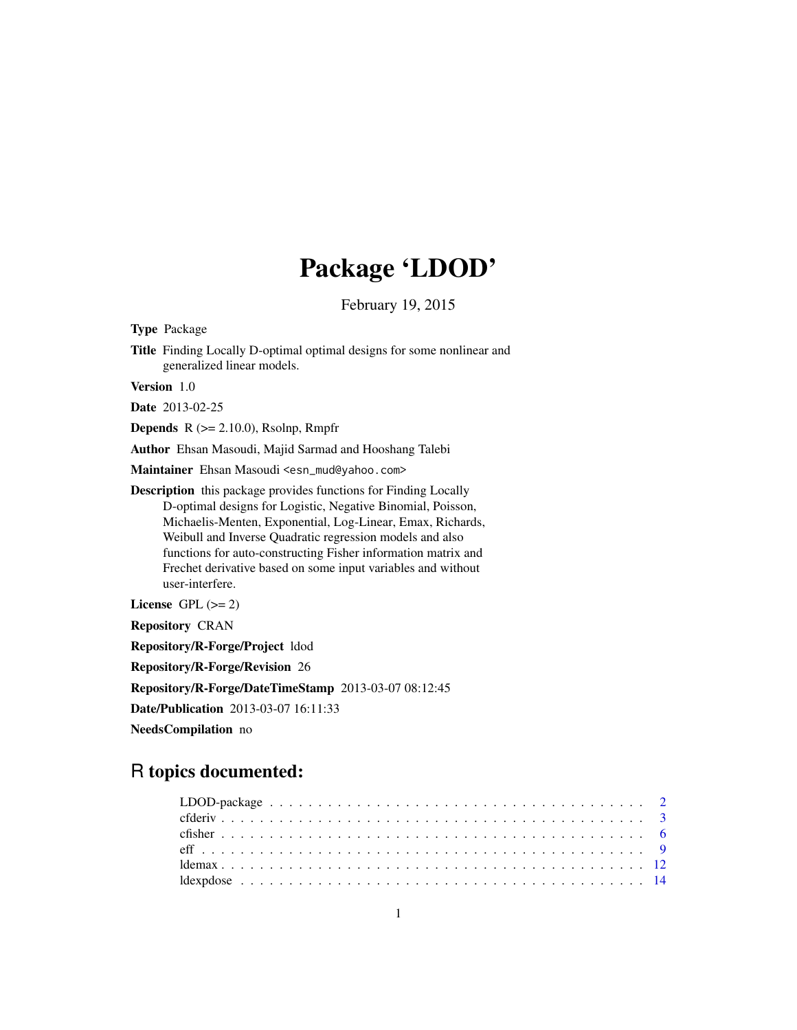# Package 'LDOD'

February 19, 2015

<span id="page-0-0"></span>Type Package

Title Finding Locally D-optimal optimal designs for some nonlinear and generalized linear models.

Version 1.0

Date 2013-02-25

**Depends**  $R$  ( $>= 2.10.0$ ), Rsolnp, Rmpfr

Author Ehsan Masoudi, Majid Sarmad and Hooshang Talebi

Maintainer Ehsan Masoudi <esn\_mud@yahoo.com>

Description this package provides functions for Finding Locally D-optimal designs for Logistic, Negative Binomial, Poisson, Michaelis-Menten, Exponential, Log-Linear, Emax, Richards, Weibull and Inverse Quadratic regression models and also functions for auto-constructing Fisher information matrix and Frechet derivative based on some input variables and without user-interfere.

License GPL  $(>= 2)$ 

Repository CRAN

Repository/R-Forge/Project ldod

Repository/R-Forge/Revision 26

Repository/R-Forge/DateTimeStamp 2013-03-07 08:12:45

Date/Publication 2013-03-07 16:11:33

NeedsCompilation no

# R topics documented: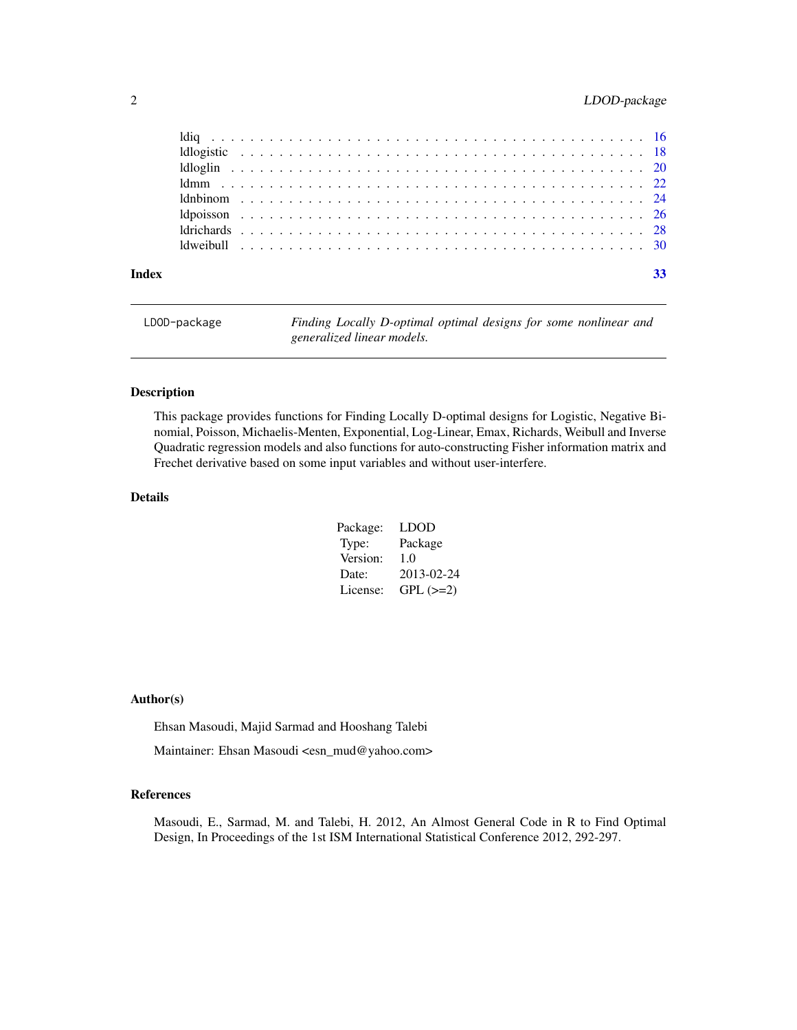# <span id="page-1-0"></span>2 LDOD-package

| Index |  |  |  |  |  |  |  |  |  |  |  |  |  |  |  |  |  |  | 33 |
|-------|--|--|--|--|--|--|--|--|--|--|--|--|--|--|--|--|--|--|----|

| LDOD-package | Finding Locally D-optimal optimal designs for some nonlinear and |
|--------------|------------------------------------------------------------------|
|              | generalized linear models.                                       |

#### Description

This package provides functions for Finding Locally D-optimal designs for Logistic, Negative Binomial, Poisson, Michaelis-Menten, Exponential, Log-Linear, Emax, Richards, Weibull and Inverse Quadratic regression models and also functions for auto-constructing Fisher information matrix and Frechet derivative based on some input variables and without user-interfere.

#### Details

| Package: | LDOD       |
|----------|------------|
| Type:    | Package    |
| Version: | 1.0        |
| Date:    | 2013-02-24 |
| License: | $GPL (=2)$ |

# Author(s)

Ehsan Masoudi, Majid Sarmad and Hooshang Talebi

Maintainer: Ehsan Masoudi <esn\_mud@yahoo.com>

# References

Masoudi, E., Sarmad, M. and Talebi, H. 2012, An Almost General Code in R to Find Optimal Design, In Proceedings of the 1st ISM International Statistical Conference 2012, 292-297.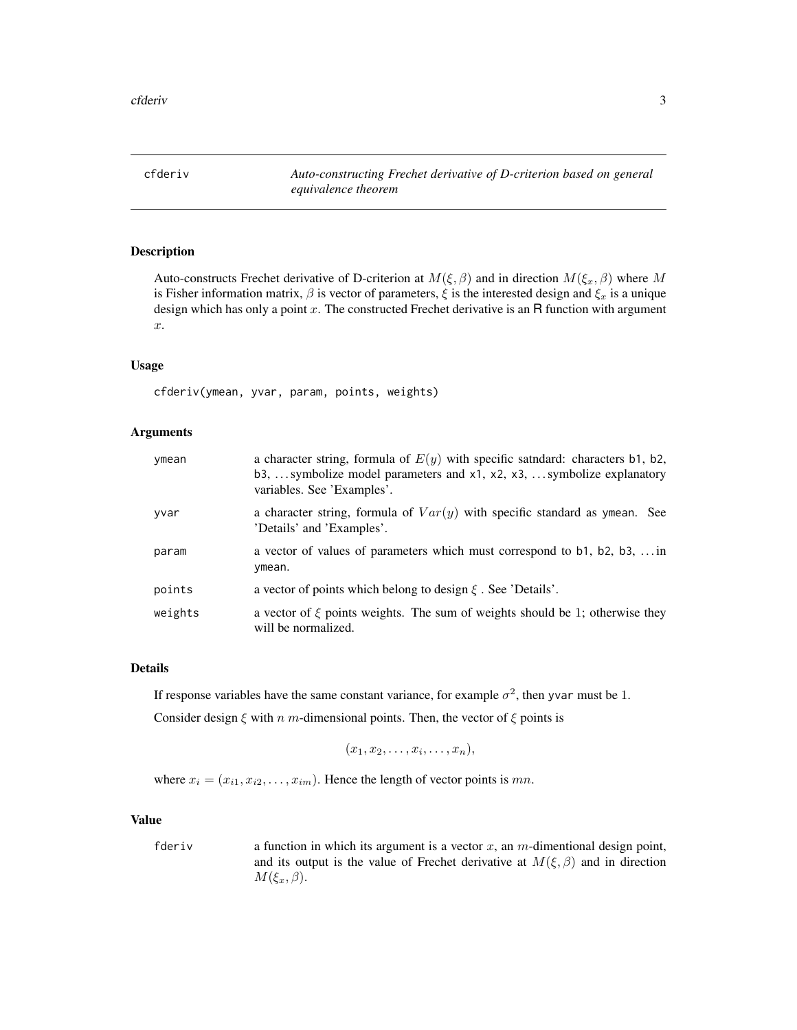<span id="page-2-1"></span><span id="page-2-0"></span>cfderiv *Auto-constructing Frechet derivative of D-criterion based on general equivalence theorem*

#### Description

Auto-constructs Frechet derivative of D-criterion at  $M(\xi, \beta)$  and in direction  $M(\xi_x, \beta)$  where M is Fisher information matrix,  $\beta$  is vector of parameters,  $\xi$  is the interested design and  $\xi_x$  is a unique design which has only a point  $x$ . The constructed Frechet derivative is an R function with argument x.

# Usage

cfderiv(ymean, yvar, param, points, weights)

#### Arguments

| ymean   | a character string, formula of $E(y)$ with specific satidard: characters b1, b2,<br>b3,  symbolize model parameters and $x1$ , $x2$ , $x3$ ,  symbolize explanatory<br>variables. See 'Examples'. |
|---------|---------------------------------------------------------------------------------------------------------------------------------------------------------------------------------------------------|
| yvar    | a character string, formula of $Var(y)$ with specific standard as ymean. See<br>'Details' and 'Examples'.                                                                                         |
| param   | a vector of values of parameters which must correspond to b1, b2, b3,  in<br>ymean.                                                                                                               |
| points  | a vector of points which belong to design $\xi$ . See 'Details'.                                                                                                                                  |
| weights | a vector of $\xi$ points weights. The sum of weights should be 1; otherwise they<br>will be normalized.                                                                                           |

# Details

If response variables have the same constant variance, for example  $\sigma^2$ , then yvar must be 1.

Consider design  $\xi$  with n m-dimensional points. Then, the vector of  $\xi$  points is

$$
(x_1,x_2,\ldots,x_i,\ldots,x_n),
$$

where  $x_i = (x_{i1}, x_{i2}, \dots, x_{im})$ . Hence the length of vector points is mn.

#### Value

fderiv a function in which its argument is a vector  $x$ , an  $m$ -dimentional design point, and its output is the value of Frechet derivative at  $M(\xi, \beta)$  and in direction  $M(\xi_x,\beta).$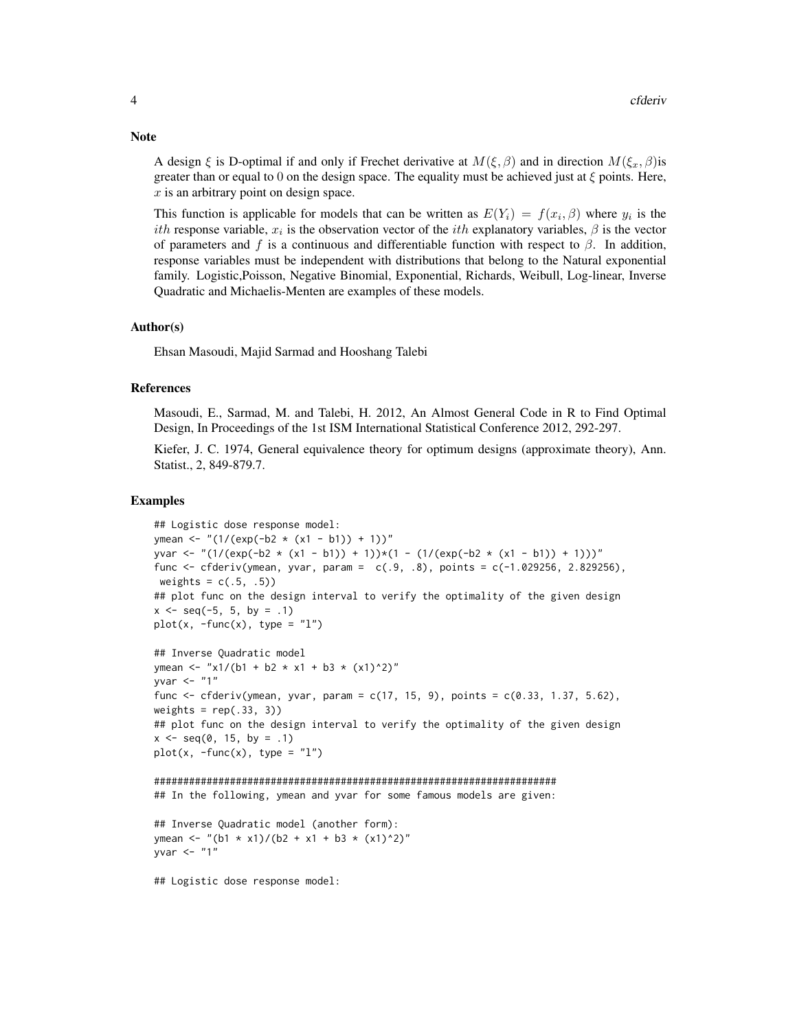A design  $\xi$  is D-optimal if and only if Frechet derivative at  $M(\xi, \beta)$  and in direction  $M(\xi_x, \beta)$  is greater than or equal to 0 on the design space. The equality must be achieved just at  $\xi$  points. Here,  $x$  is an arbitrary point on design space.

This function is applicable for models that can be written as  $E(Y_i) = f(x_i, \beta)$  where  $y_i$  is the *ith* response variable,  $x_i$  is the observation vector of the *ith* explanatory variables,  $\beta$  is the vector of parameters and f is a continuous and differentiable function with respect to  $\beta$ . In addition, response variables must be independent with distributions that belong to the Natural exponential family. Logistic,Poisson, Negative Binomial, Exponential, Richards, Weibull, Log-linear, Inverse Quadratic and Michaelis-Menten are examples of these models.

#### Author(s)

Ehsan Masoudi, Majid Sarmad and Hooshang Talebi

#### References

Masoudi, E., Sarmad, M. and Talebi, H. 2012, An Almost General Code in R to Find Optimal Design, In Proceedings of the 1st ISM International Statistical Conference 2012, 292-297.

Kiefer, J. C. 1974, General equivalence theory for optimum designs (approximate theory), Ann. Statist., 2, 849-879.7.

#### Examples

```
## Logistic dose response model:
ymean <- "(1/(\exp(-b2 \times (x1 - b1)) + 1))^nyvar <- "(1/(exp(-b2 * (x1 - b1)) + 1))*(1 - (1/(exp(-b2 * (x1 - b1)) + 1)))"
func <- cfderiv(ymean, yvar, param = c(.9, .8), points = c(-1.029256, 2.829256),
weights = c(.5, .5))
## plot func on the design interval to verify the optimality of the given design
x \le - seq(-5, 5, by = .1)
plot(x, -func(x), type = "l")## Inverse Quadratic model
ymean <- "x1/(b1 + b2 * x1 + b3 * (x1)^2)"
yvar <- "1"
func <- cfderiv(ymean, yvar, param = c(17, 15, 9), points = c(0.33, 1.37, 5.62),
weights = rep(.33, 3))## plot func on the design interval to verify the optimality of the given design
x \leq -\text{seq}(0, 15, \text{ by } = .1)plot(x, -func(x), type = "1")
```

```
#####################################################################
## In the following, ymean and yvar for some famous models are given:
```

```
## Inverse Quadratic model (another form):
ymean <- "(b1 * x1)/(b2 + x1 + b3 * (x1)^2)"
yvar \leq "1"
```
## Logistic dose response model:

#### **Note**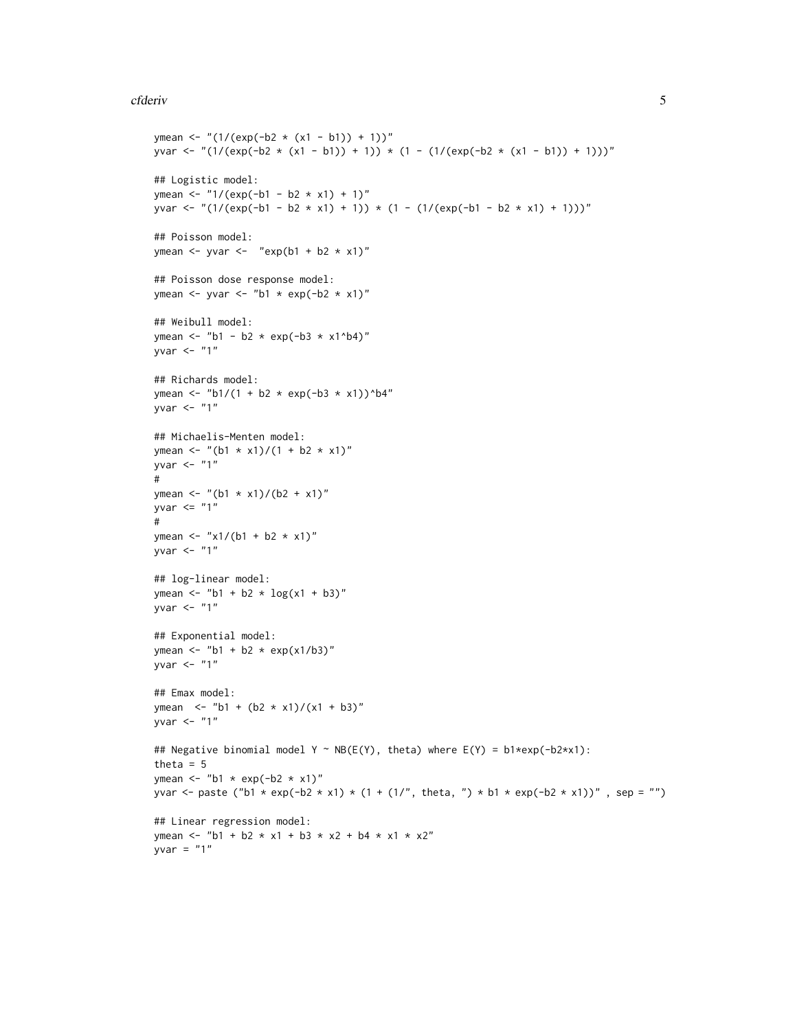#### cfderiv 5

```
ymean <- "(1/(\exp(-b2 \times (x1 - b1)) + 1))^nyvar <- "(1/(exp(-b2 * (x1 - b1)) + 1)) * (1 - (1/(exp(-b2 * (x1 - b1)) + 1)))"
## Logistic model:
ymean <- "1/(exp(-b1 - b2 * x1) + 1)"
yvar <- "(1/(exp(-b1 - b2 * x1) + 1)) * (1 - (1/(exp(-b1 - b2 * x1) + 1)))"
## Poisson model:
ymean \le- yvar \le- "exp(b1 + b2 \star x1)"
## Poisson dose response model:
ymean \le yvar \le "b1 \star exp(-b2 \star x1)"
## Weibull model:
ymean <- "b1 - b2 * exp(-b3 * x1^b4)"
yvar \leq - "1"
## Richards model:
ymean <- "b1/(1 + b2 * exp(-b3 * x1))^b4"
yvar \leq - "1"
## Michaelis-Menten model:
ymean <- "(b1 * x1)/(1 + b2 * x1)"
yvar \leq - "1"
#
ymean <- "(b1 * x1)/(b2 + x1)"
yvar \leq "1"
#
ymean <- "x1/(b1 + b2 * x1)"
yvar \leq "1"
## log-linear model:
ymean <- "b1 + b2 * \log(x1 + b3)"
yvar \leq "1"
## Exponential model:
ymean <- "b1 + b2 * exp(x1/b3)"
yvar <- "1"
## Emax model:
ymean <- "b1 + (b2 \times x1)/(x1 + b3)"
yvar <- "1"
## Negative binomial model Y ~ NB(E(Y), theta) where E(Y) = b1*exp(-b2*x1):
theta = 5ymean \leq "b1 \star exp(-b2 \star x1)"
yvar <- paste ("b1 * exp(-b2 * x1) * (1 + (1/", theta, ") * b1 * exp(-b2 * x1))", sep = "")
## Linear regression model:
ymean <- "b1 + b2 * x1 + b3 * x2 + b4 * x1 * x2"
yvar = "1"
```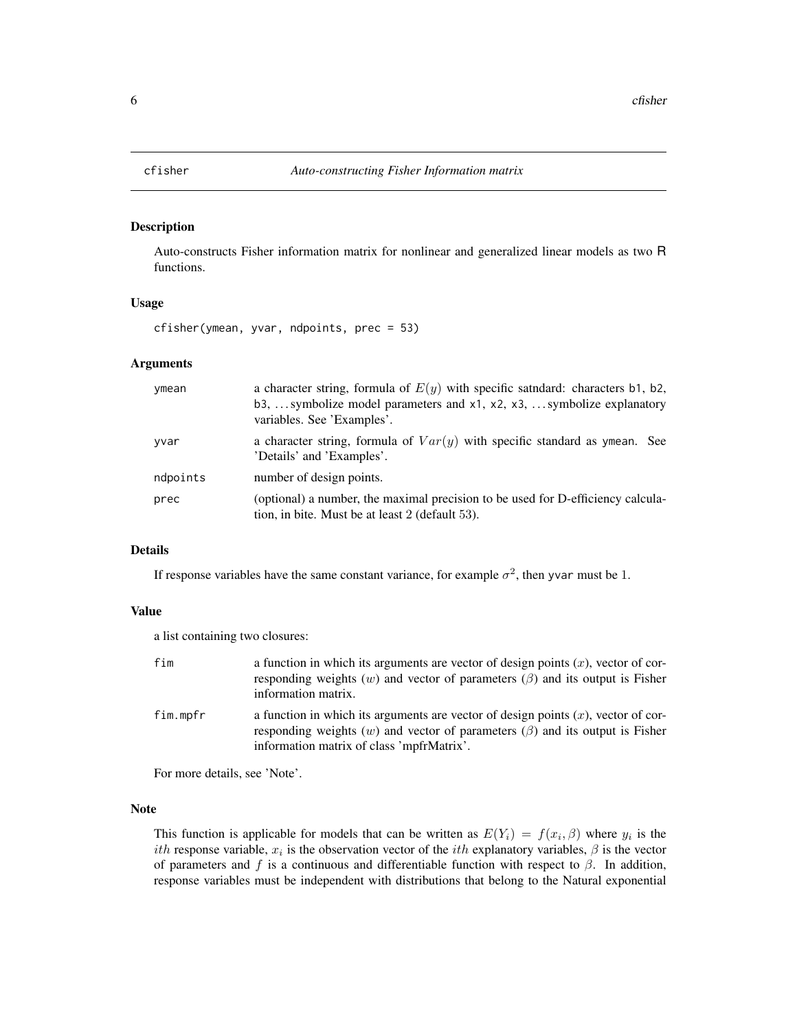<span id="page-5-1"></span><span id="page-5-0"></span>

#### Description

Auto-constructs Fisher information matrix for nonlinear and generalized linear models as two R functions.

# Usage

cfisher(ymean, yvar, ndpoints, prec = 53)

# Arguments

| ymean    | a character string, formula of $E(y)$ with specific saturdard: characters b1, b2,<br>b3,  symbolize model parameters and $x1$ , $x2$ , $x3$ ,  symbolize explanatory<br>variables. See 'Examples'. |
|----------|----------------------------------------------------------------------------------------------------------------------------------------------------------------------------------------------------|
| yvar     | a character string, formula of $Var(y)$ with specific standard as ymean. See<br>'Details' and 'Examples'.                                                                                          |
| ndpoints | number of design points.                                                                                                                                                                           |
| prec     | (optional) a number, the maximal precision to be used for D-efficiency calcula-<br>tion, in bite. Must be at least 2 (default 53).                                                                 |

# Details

If response variables have the same constant variance, for example  $\sigma^2$ , then yvar must be 1.

#### Value

a list containing two closures:

| fim      | a function in which its arguments are vector of design points $(x)$ , vector of cor-<br>responding weights (w) and vector of parameters ( $\beta$ ) and its output is Fisher<br>information matrix.                       |
|----------|---------------------------------------------------------------------------------------------------------------------------------------------------------------------------------------------------------------------------|
| fim.mpfr | a function in which its arguments are vector of design points $(x)$ , vector of cor-<br>responding weights (w) and vector of parameters ( $\beta$ ) and its output is Fisher<br>information matrix of class 'mpfrMatrix'. |

For more details, see 'Note'.

# Note

This function is applicable for models that can be written as  $E(Y_i) = f(x_i, \beta)$  where  $y_i$  is the ith response variable,  $x_i$  is the observation vector of the *ith* explanatory variables,  $\beta$  is the vector of parameters and f is a continuous and differentiable function with respect to  $\beta$ . In addition, response variables must be independent with distributions that belong to the Natural exponential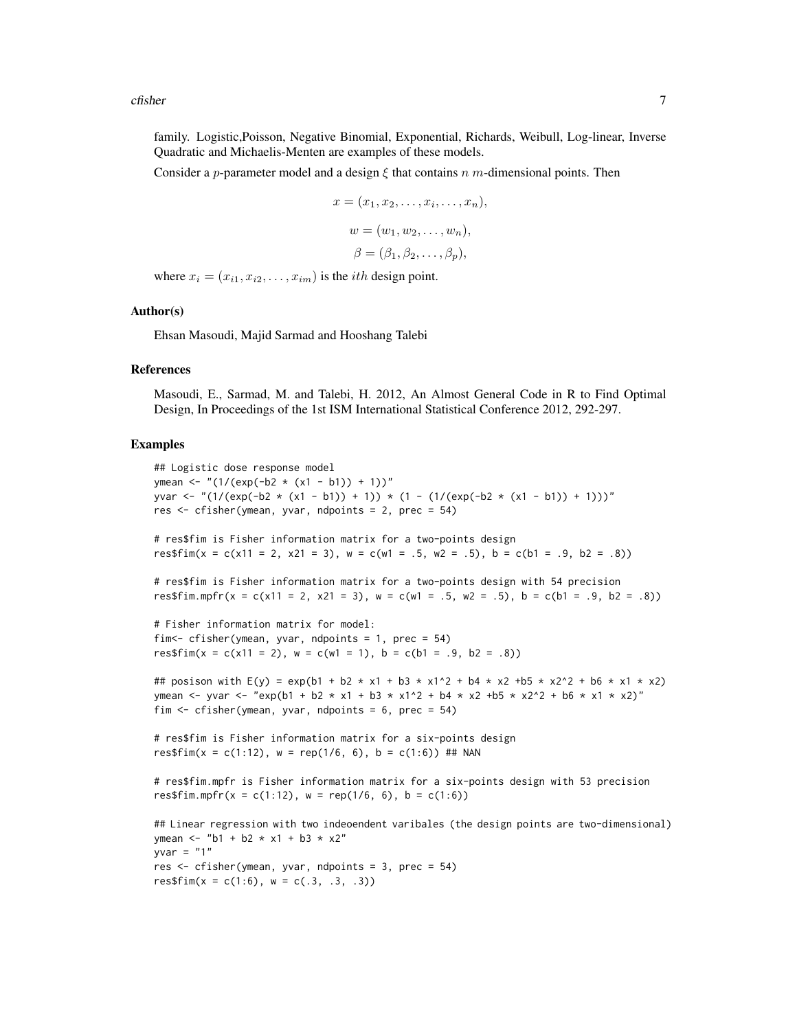cfisher 7

family. Logistic,Poisson, Negative Binomial, Exponential, Richards, Weibull, Log-linear, Inverse Quadratic and Michaelis-Menten are examples of these models.

Consider a p-parameter model and a design  $\xi$  that contains n m-dimensional points. Then

$$
x = (x_1, x_2, \dots, x_i, \dots, x_n),
$$
  
\n
$$
w = (w_1, w_2, \dots, w_n),
$$
  
\n
$$
\beta = (\beta_1, \beta_2, \dots, \beta_p),
$$

where  $x_i = (x_{i1}, x_{i2}, \dots, x_{im})$  is the *ith* design point.

#### Author(s)

Ehsan Masoudi, Majid Sarmad and Hooshang Talebi

res\$fim(x = c(1:6),  $w = c(.3, .3, .3)$ )

#### References

Masoudi, E., Sarmad, M. and Talebi, H. 2012, An Almost General Code in R to Find Optimal Design, In Proceedings of the 1st ISM International Statistical Conference 2012, 292-297.

#### Examples

```
## Logistic dose response model
ymean <- "(1/(exp(-b2 \times (x1 - b1)) + 1)"
yvar <- "(1/(exp(-b2 * (x1 - b1)) + 1)) * (1 - (1/(exp(-b2 * (x1 - b1)) + 1)))"
res <- cfisher(ymean, yvar, ndpoints = 2, prec = 54)
# res$fim is Fisher information matrix for a two-points design
res$fim(x = c(x11 = 2, x21 = 3), w = c(w1 = .5, w2 = .5), b = c(b1 = .9, b2 = .8))
# res$fim is Fisher information matrix for a two-points design with 54 precision
res$fim.mpfr(x = c(x11 = 2, x21 = 3), w = c(w1 = .5, w2 = .5), b = c(b1 = .9, b2 = .8))
# Fisher information matrix for model:
fim<- cfisher(ymean, yvar, ndpoints = 1, prec = 54)
res$fim(x = c(x11 = 2), w = c(w1 = 1), b = c(b1 = .9, b2 = .8))
## posison with E(y) = exp(b1 + b2 * x1 + b3 * x1^2 + b4 * x2 +b5 * x2^2 + b6 * x1 * x2)
ymean <- yvar <- "exp(b1 + b2 * x1 + b3 * x1^2 + b4 * x2 +b5 * x2^2 + b6 * x1 * x2)"
fim \le - cfisher(ymean, yvar, ndpoints = 6, prec = 54)
# res$fim is Fisher information matrix for a six-points design
res$fim(x = c(1:12), w = rep(1/6, 6), b = c(1:6)) ## NAN
# res$fim.mpfr is Fisher information matrix for a six-points design with 53 precision
res$fim.mpfr(x = c(1:12), w = rep(1/6, 6), b = c(1:6))
## Linear regression with two indeoendent varibales (the design points are two-dimensional)
ymean <- "b1 + b2 * x1 + b3 * x2"
yvar = "1"res <- cfisher(ymean, yvar, ndpoints = 3, prec = 54)
```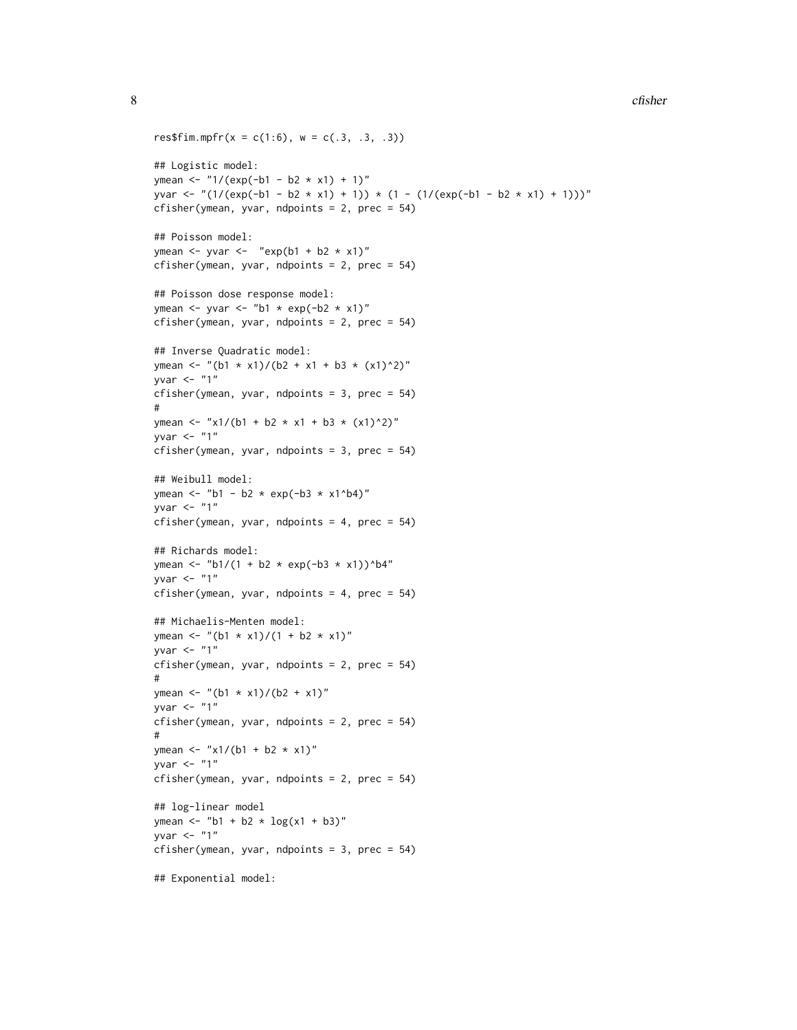```
res$fim.mpfr(x = c(1:6), w = c(.3, .3, .3))
## Logistic model:
ymean <- "1/(exp(-b1 - b2 \times x1) + 1)"yvar <- "(1/(exp(-b1 - b2 * x1) + 1)) * (1 - (1/(exp(-b1 - b2 * x1) + 1)))"
cfisher(ymean, yvar, ndpoints = 2, prec = 54)
## Poisson model:
ymean \leq yvar \leq "exp(b1 + b2 * x1)"
cfisher(ymean, yvar, ndpoints = 2, prec = 54)
## Poisson dose response model:
ymean \le yvar \le "b1 \star exp(-b2 \star x1)"
cfisher(ymean, yvar, ndpoints = 2, prec = 54)
## Inverse Quadratic model:
ymean <- "(b1 * x1)/(b2 + x1 + b3 * (x1)^2)"
yvar <- "1"
cfisher(ymean, yvar, ndpoints = 3, prec = 54)
#
ymean <- "x1/(b1 + b2 * x1 + b3 * (x1)^2)"
yvar \leq "1"
cfisher(ymean, yvar, ndpoints = 3, prec = 54)
## Weibull model:
ymean <- "b1 - b2 * exp(-b3 * x1^b4)"
yvar \leq "1"
cfisher(ymean, yvar, ndpoints = 4, prec = 54)
## Richards model:
ymean <- "b1/(1 + b2 * exp(-b3 * x1))^b4"
yvar \leq "1"
cfisher(ymean, yvar, ndpoints = 4, prec = 54)
## Michaelis-Menten model:
ymean <- "(b1 * x1)/(1 + b2 * x1)"
yvar \leq - "1"
cfisher(ymean, yvar, ndpoints = 2, prec = 54)
#
ymean <- "(b1 * x1)/(b2 + x1)"
yvar \leq "1"
cfisher(ymean, yvar, ndpoints = 2, prec = 54)
#
ymean <- "x1/(b1 + b2 * x1)"
yvar \leq - "1"
cfisher(ymean, yvar, ndpoints = 2, prec = 54)
## log-linear model
ymean <- "b1 + b2 * log(x1 + b3)"
yvar \leq - "1"
cfisher(ymean, yvar, ndpoints = 3, prec = 54)
## Exponential model:
```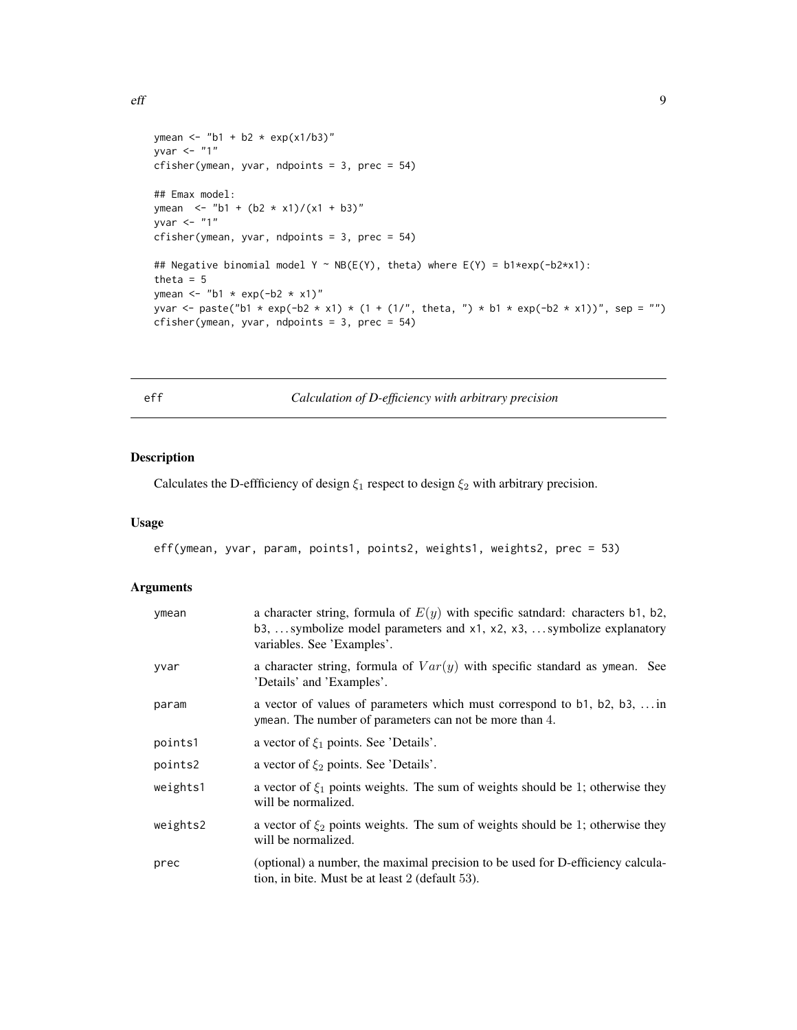```
ymean <- "b1 + b2 * exp(x1/b3)"
yvar \leq "1"
cfisher(ymean, yvar, ndpoints = 3, prec = 54)
## Emax model:
ymean <- "b1 + (b2 \times x1)/(x1 + b3)"
yvar \leq "1"
cfisher(ymean, yvar, ndpoints = 3, prec = 54)
## Negative binomial model Y ~ NB(E(Y), theta) where E(Y) = b1*exp(-b2*x1):
theta = 5ymean \leq "b1 \star exp(-b2 \star x1)"
yvar <- paste("b1 * exp(-b2 * x1) * (1 + (1/", theta, ") * b1 * exp(-b2 * x1))", sep = "")
cfisher(ymean, yvar, ndpoints = 3, prec = 54)
```
<span id="page-8-1"></span>eff *Calculation of D-efficiency with arbitrary precision*

# Description

Calculates the D-effficiency of design  $\xi_1$  respect to design  $\xi_2$  with arbitrary precision.

# Usage

```
eff(ymean, yvar, param, points1, points2, weights1, weights2, prec = 53)
```

| ymean    | a character string, formula of $E(y)$ with specific saturdard: characters b1, b2,<br>b3,  symbolize model parameters and x1, x2, x3,  symbolize explanatory<br>variables. See 'Examples'. |
|----------|-------------------------------------------------------------------------------------------------------------------------------------------------------------------------------------------|
| yvar     | a character string, formula of $Var(y)$ with specific standard as ymean. See<br>'Details' and 'Examples'.                                                                                 |
| param    | a vector of values of parameters which must correspond to b1, b2, b3,  in<br>ymean. The number of parameters can not be more than 4.                                                      |
| points1  | a vector of $\xi_1$ points. See 'Details'.                                                                                                                                                |
| points2  | a vector of $\xi_2$ points. See 'Details'.                                                                                                                                                |
| weights1 | a vector of $\xi_1$ points weights. The sum of weights should be 1; otherwise they<br>will be normalized.                                                                                 |
| weights2 | a vector of $\xi_2$ points weights. The sum of weights should be 1; otherwise they<br>will be normalized.                                                                                 |
| prec     | (optional) a number, the maximal precision to be used for D-efficiency calcula-<br>tion, in bite. Must be at least 2 (default 53).                                                        |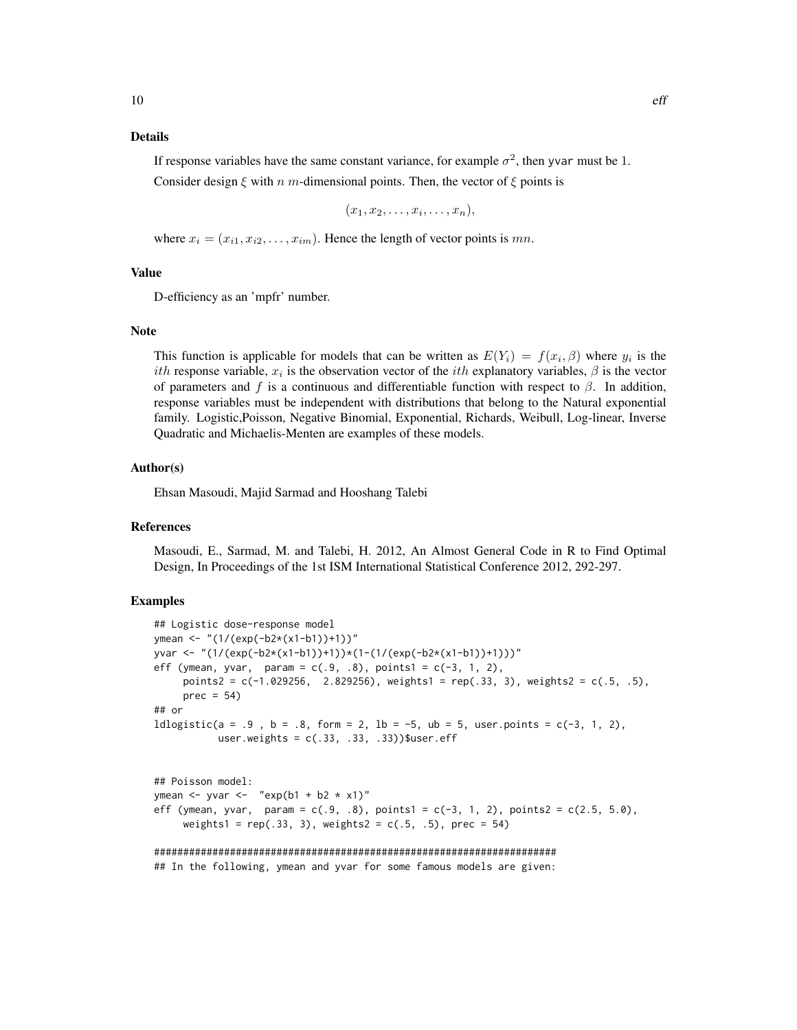#### Details

If response variables have the same constant variance, for example  $\sigma^2$ , then yvar must be 1.

Consider design  $\xi$  with n m-dimensional points. Then, the vector of  $\xi$  points is

$$
(x_1,x_2,\ldots,x_i,\ldots,x_n),
$$

where  $x_i = (x_{i1}, x_{i2}, \dots, x_{im})$ . Hence the length of vector points is mn.

# Value

D-efficiency as an 'mpfr' number.

#### **Note**

This function is applicable for models that can be written as  $E(Y_i) = f(x_i, \beta)$  where  $y_i$  is the ith response variable,  $x_i$  is the observation vector of the *ith* explanatory variables,  $\beta$  is the vector of parameters and f is a continuous and differentiable function with respect to  $\beta$ . In addition, response variables must be independent with distributions that belong to the Natural exponential family. Logistic,Poisson, Negative Binomial, Exponential, Richards, Weibull, Log-linear, Inverse Quadratic and Michaelis-Menten are examples of these models.

#### Author(s)

Ehsan Masoudi, Majid Sarmad and Hooshang Talebi

#### **References**

Masoudi, E., Sarmad, M. and Talebi, H. 2012, An Almost General Code in R to Find Optimal Design, In Proceedings of the 1st ISM International Statistical Conference 2012, 292-297.

#### Examples

```
## Logistic dose-response model
ymean <- "(1/(exp(-b2*(x1-b1))+1))"
yvar <- "(1/(exp(-b2*(x1-b1))+1))*(1-(1/(exp(-b2*(x1-b1))+1)))"
eff (ymean, yvar, param = c(.9, .8), points1 = c(-3, 1, 2),
     points2 = c(-1.029256, 2.829256), weights1 = rep(.33, 3), weights2 = c(.5, .5),
     prec = 54## or
1dlogistic(a = .9, b = .8, form = 2, lb = -5, ub = 5, user.points = c(-3, 1, 2),
           user.weights = c(.33, .33, .33))$user.eff
## Poisson model:
ymean \leq yvar \leq "exp(b1 + b2 \star x1)"
eff (ymean, yvar, param = c(.9, .8), points1 = c(-3, 1, 2), points2 = c(2.5, 5.0),
     weights1 = rep(.33, 3), weights2 = c(.5, .5), prec = 54)
#####################################################################
```
## In the following, ymean and yvar for some famous models are given: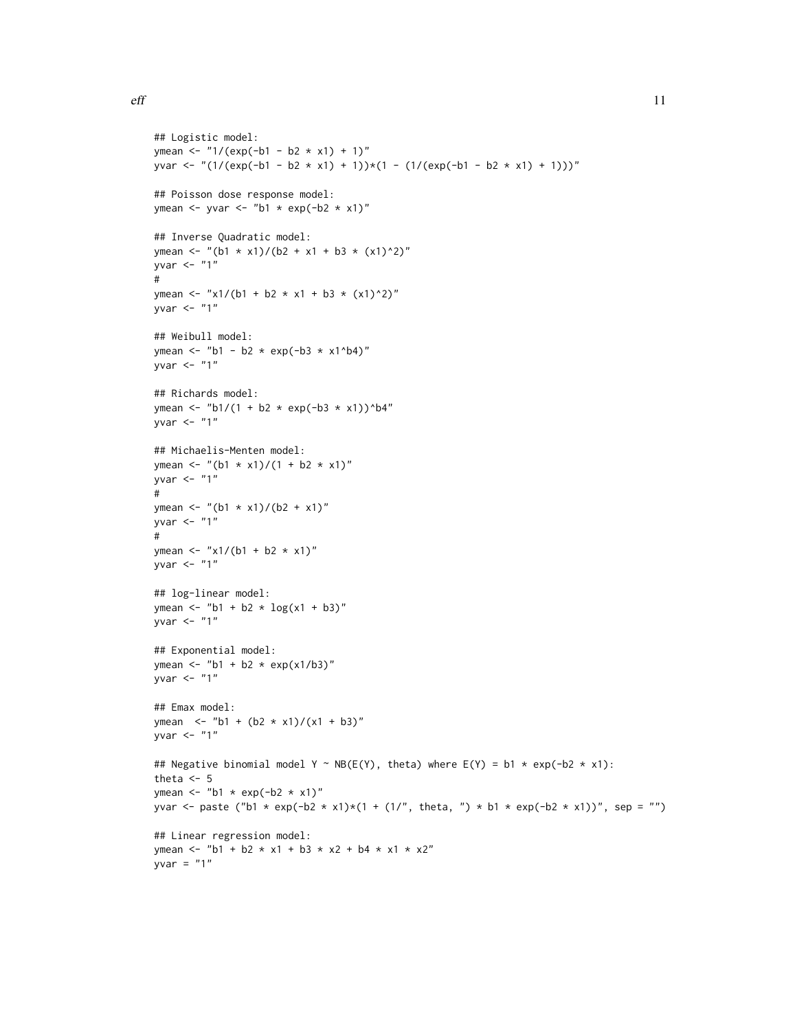```
## Logistic model:
ymean <- "1/(exp(-b1 - b2 * x1) + 1)"
yvar <- "(1/(exp(-b1 - b2 * x1) + 1))*(1 - (1/(exp(-b1 - b2 * x1) + 1)))"
## Poisson dose response model:
ymean \le- yvar \le- "b1 * exp(-b2 * x1)"
## Inverse Quadratic model:
ymean <- "(b1 * x1)/(b2 + x1 + b3 * (x1)^2)"
yvar \leq - "1"
#
ymean <- "x1/(b1 + b2 * x1 + b3 * (x1)^2)"
yvar \leq - "1"
## Weibull model:
ymean <- "b1 - b2 * exp(-b3 * x1^b4)"
yvar \leq "1"
## Richards model:
ymean <- "b1/(1 + b2 * exp(-b3 * x1))^b4"
yvar <- "1"
## Michaelis-Menten model:
ymean <- "(b1 * x1)/(1 + b2 * x1)"
yvar \leq "1"
#
ymean <- "(b1 * x1)/(b2 + x1)"
yvar \leq "1"
#
ymean <- "x1/(b1 + b2 * x1)"
yvar \leq "1"
## log-linear model:
ymean <- "b1 + b2 * log(x1 + b3)"
yvar \leq - "1"
## Exponential model:
ymean <- "b1 + b2 * exp(x1/b3)"
yvar \leq - "1"
## Emax model:
ymean <- "b1 + (b2 * x1)/(x1 + b3)"
yvar \leq "1"
## Negative binomial model Y ~ NB(E(Y), theta) where E(Y) = b1 * exp(-b2 * x1):
theta <-5ymean \leq "b1 \star exp(-b2 \star x1)"
yvar <- paste ("b1 * exp(-b2 * x1)*(1 + (1/", theta, ") * b1 * exp(-b2 * x1))", sep = "")
## Linear regression model:
ymean <- "b1 + b2 * x1 + b3 * x2 + b4 * x1 * x2"
yvar = "1"
```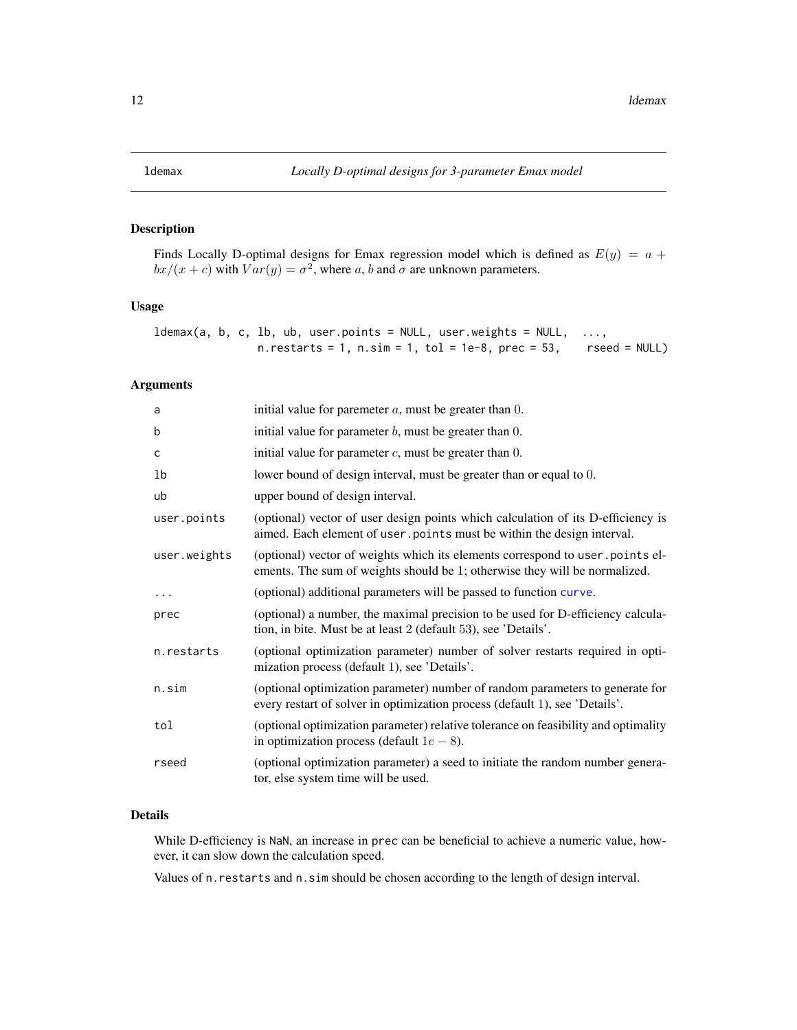# <span id="page-11-0"></span>Description

Finds Locally D-optimal designs for Emax regression model which is defined as  $E(y) = a +$  $bx/(x + c)$  with  $Var(y) = \sigma^2$ , where a, b and  $\sigma$  are unknown parameters.

# Usage

 $ldemax(a, b, c, lb, ub, user.points = NULL, user.weights = NULL, ...$  $n.$  restarts = 1,  $n.\sin = 1$ ,  $tol = 1e-8$ ,  $prec = 53$ , rseed = NULL)

# Arguments

| a            | initial value for paremeter $a$ , must be greater than $0$ .                                                                                                 |
|--------------|--------------------------------------------------------------------------------------------------------------------------------------------------------------|
| b            | initial value for parameter $b$ , must be greater than $0$ .                                                                                                 |
| c            | initial value for parameter $c$ , must be greater than $0$ .                                                                                                 |
| lb           | lower bound of design interval, must be greater than or equal to 0.                                                                                          |
| ub           | upper bound of design interval.                                                                                                                              |
| user.points  | (optional) vector of user design points which calculation of its D-efficiency is<br>aimed. Each element of user points must be within the design interval.   |
| user.weights | (optional) vector of weights which its elements correspond to user points el-<br>ements. The sum of weights should be 1; otherwise they will be normalized.  |
| $\cdots$     | (optional) additional parameters will be passed to function curve.                                                                                           |
| prec         | (optional) a number, the maximal precision to be used for D-efficiency calcula-<br>tion, in bite. Must be at least 2 (default 53), see 'Details'.            |
| n.restarts   | (optional optimization parameter) number of solver restarts required in opti-<br>mization process (default 1), see 'Details'.                                |
| n.sim        | (optional optimization parameter) number of random parameters to generate for<br>every restart of solver in optimization process (default 1), see 'Details'. |
| tol          | (optional optimization parameter) relative tolerance on feasibility and optimality<br>in optimization process (default $1e - 8$ ).                           |
| rseed        | (optional optimization parameter) a seed to initiate the random number genera-<br>tor, else system time will be used.                                        |

# Details

While D-efficiency is NaN, an increase in prec can be beneficial to achieve a numeric value, however, it can slow down the calculation speed.

Values of n.restarts and n.sim should be chosen according to the length of design interval.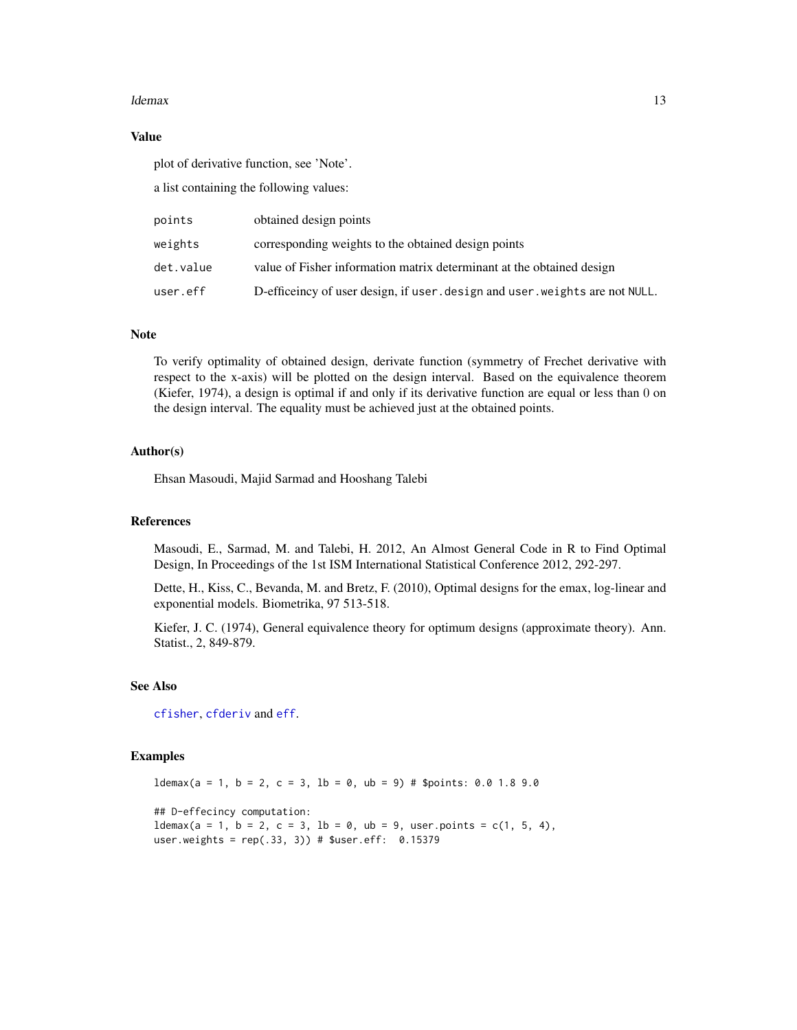#### <span id="page-12-0"></span>ldemax and the state of the state of the state of the state of the state of the state of the state of the state of the state of the state of the state of the state of the state of the state of the state of the state of the

#### Value

plot of derivative function, see 'Note'.

a list containing the following values:

| points    | obtained design points                                                       |
|-----------|------------------------------------------------------------------------------|
| weights   | corresponding weights to the obtained design points                          |
| det.value | value of Fisher information matrix determinant at the obtained design        |
| user.eff  | D-efficeincy of user design, if user, design and user, weights are not NULL. |

#### Note

To verify optimality of obtained design, derivate function (symmetry of Frechet derivative with respect to the x-axis) will be plotted on the design interval. Based on the equivalence theorem (Kiefer, 1974), a design is optimal if and only if its derivative function are equal or less than 0 on the design interval. The equality must be achieved just at the obtained points.

# Author(s)

Ehsan Masoudi, Majid Sarmad and Hooshang Talebi

#### References

Masoudi, E., Sarmad, M. and Talebi, H. 2012, An Almost General Code in R to Find Optimal Design, In Proceedings of the 1st ISM International Statistical Conference 2012, 292-297.

Dette, H., Kiss, C., Bevanda, M. and Bretz, F. (2010), Optimal designs for the emax, log-linear and exponential models. Biometrika, 97 513-518.

Kiefer, J. C. (1974), General equivalence theory for optimum designs (approximate theory). Ann. Statist., 2, 849-879.

#### See Also

[cfisher](#page-5-1), [cfderiv](#page-2-1) and [eff](#page-8-1).

### Examples

 $ldemax(a = 1, b = 2, c = 3, lb = 0, ub = 9) # $points: 0.0 1.8 9.0$ ## D-effecincy computation:  $Idemax(a = 1, b = 2, c = 3, lb = 0, ub = 9, user points = c(1, 5, 4),$ user.weights =  $rep(.33, 3))$  # \$user.eff:  $0.15379$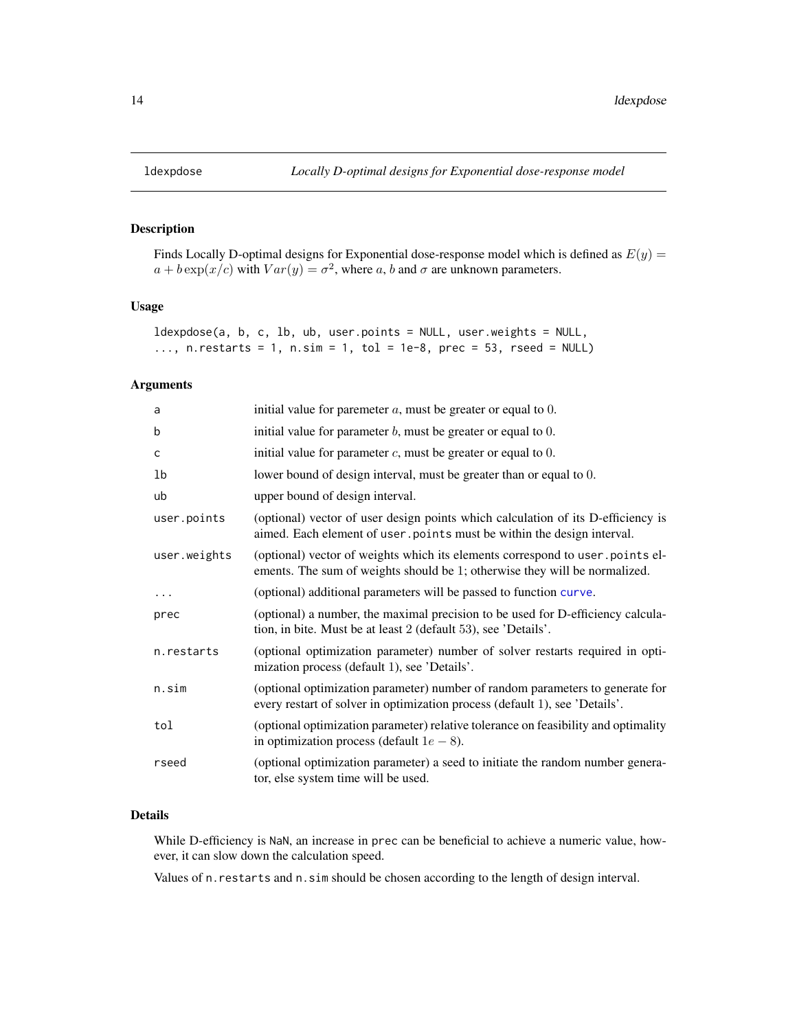# Description

Finds Locally D-optimal designs for Exponential dose-response model which is defined as  $E(y) =$  $a + b \exp(x/c)$  with  $Var(y) = \sigma^2$ , where a, b and  $\sigma$  are unknown parameters.

# Usage

ldexpdose(a, b, c, lb, ub, user.points = NULL, user.weights = NULL, ..., n. restarts = 1, n. sim = 1, tol = 1e-8, prec = 53, rseed = NULL)

# Arguments

| a            | initial value for paremeter $a$ , must be greater or equal to $0$ .                                                                                          |
|--------------|--------------------------------------------------------------------------------------------------------------------------------------------------------------|
| b            | initial value for parameter $b$ , must be greater or equal to $0$ .                                                                                          |
| c            | initial value for parameter $c$ , must be greater or equal to $0$ .                                                                                          |
| 1b           | lower bound of design interval, must be greater than or equal to 0.                                                                                          |
| ub           | upper bound of design interval.                                                                                                                              |
| user.points  | (optional) vector of user design points which calculation of its D-efficiency is<br>aimed. Each element of user . points must be within the design interval. |
| user.weights | (optional) vector of weights which its elements correspond to user points el-<br>ements. The sum of weights should be 1; otherwise they will be normalized.  |
| $\cdots$     | (optional) additional parameters will be passed to function curve.                                                                                           |
| prec         | (optional) a number, the maximal precision to be used for D-efficiency calcula-<br>tion, in bite. Must be at least 2 (default 53), see 'Details'.            |
| n.restarts   | (optional optimization parameter) number of solver restarts required in opti-<br>mization process (default 1), see 'Details'.                                |
| n.sim        | (optional optimization parameter) number of random parameters to generate for<br>every restart of solver in optimization process (default 1), see 'Details'. |
| tol          | (optional optimization parameter) relative tolerance on feasibility and optimality<br>in optimization process (default $1e - 8$ ).                           |
| rseed        | (optional optimization parameter) a seed to initiate the random number genera-<br>tor, else system time will be used.                                        |

# Details

While D-efficiency is NaN, an increase in prec can be beneficial to achieve a numeric value, however, it can slow down the calculation speed.

Values of n.restarts and n.sim should be chosen according to the length of design interval.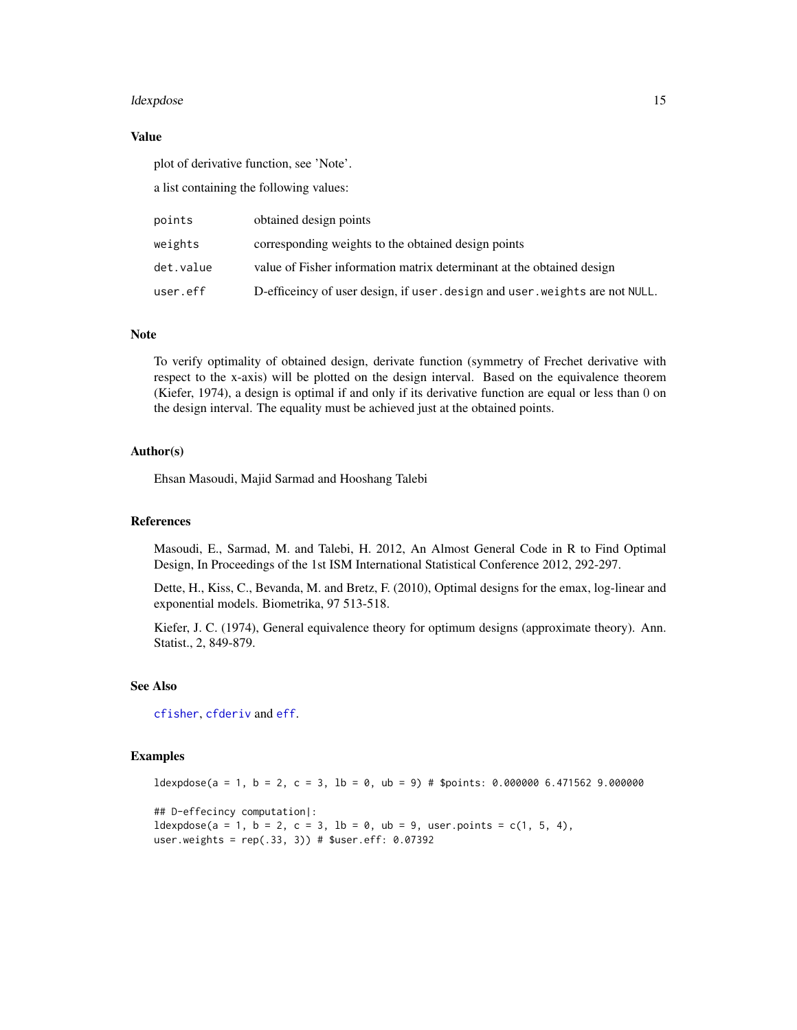#### <span id="page-14-0"></span>ldexpdose the control of the control of the control of the control of the control of the control of the control of the control of the control of the control of the control of the control of the control of the control of th

#### Value

plot of derivative function, see 'Note'.

a list containing the following values:

| points    | obtained design points                                                       |
|-----------|------------------------------------------------------------------------------|
| weights   | corresponding weights to the obtained design points                          |
| det.value | value of Fisher information matrix determinant at the obtained design        |
| user.eff  | D-efficeincy of user design, if user, design and user, weights are not NULL. |

#### Note

To verify optimality of obtained design, derivate function (symmetry of Frechet derivative with respect to the x-axis) will be plotted on the design interval. Based on the equivalence theorem (Kiefer, 1974), a design is optimal if and only if its derivative function are equal or less than 0 on the design interval. The equality must be achieved just at the obtained points.

# Author(s)

Ehsan Masoudi, Majid Sarmad and Hooshang Talebi

#### References

Masoudi, E., Sarmad, M. and Talebi, H. 2012, An Almost General Code in R to Find Optimal Design, In Proceedings of the 1st ISM International Statistical Conference 2012, 292-297.

Dette, H., Kiss, C., Bevanda, M. and Bretz, F. (2010), Optimal designs for the emax, log-linear and exponential models. Biometrika, 97 513-518.

Kiefer, J. C. (1974), General equivalence theory for optimum designs (approximate theory). Ann. Statist., 2, 849-879.

#### See Also

[cfisher](#page-5-1), [cfderiv](#page-2-1) and [eff](#page-8-1).

### Examples

 $ldexp$ dose(a = 1, b = 2, c = 3, lb = 0, ub = 9) # \$points: 0.000000 6.471562 9.000000

## D-effecincy computation|:  $ldexpdose(a = 1, b = 2, c = 3, lb = 0, ub = 9, user points = c(1, 5, 4),$ user.weights = rep(.33, 3)) # \$user.eff: 0.07392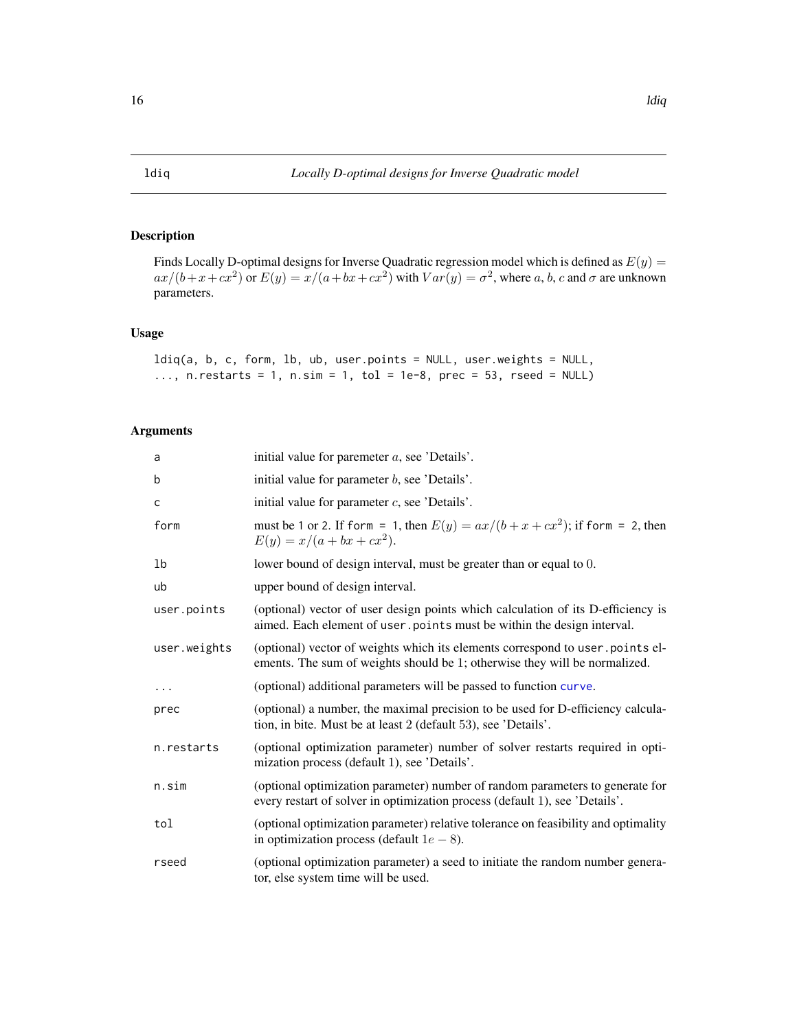# <span id="page-15-0"></span>Description

Finds Locally D-optimal designs for Inverse Quadratic regression model which is defined as  $E(y) =$  $ax/(b+x+cx^2)$  or  $E(y) = x/(a+bx+cx^2)$  with  $Var(y) = \sigma^2$ , where a, b, c and  $\sigma$  are unknown parameters.

# Usage

```
ldiq(a, b, c, form, lb, ub, user.points = NULL, user.weights = NULL,
..., n.restarts = 1, n.sim = 1, tol = 1e-8, prec = 53, rseed = NULL)
```

| a            | initial value for paremeter $a$ , see 'Details'.                                                                                                             |
|--------------|--------------------------------------------------------------------------------------------------------------------------------------------------------------|
| b            | initial value for parameter $b$ , see 'Details'.                                                                                                             |
| C            | initial value for parameter $c$ , see 'Details'.                                                                                                             |
| form         | must be 1 or 2. If form = 1, then $E(y) = ax/(b + x + cx^2)$ ; if form = 2, then<br>$E(y) = x/(a + bx + cx^2).$                                              |
| 1b           | lower bound of design interval, must be greater than or equal to 0.                                                                                          |
| ub           | upper bound of design interval.                                                                                                                              |
| user.points  | (optional) vector of user design points which calculation of its D-efficiency is<br>aimed. Each element of user points must be within the design interval.   |
| user.weights | (optional) vector of weights which its elements correspond to user points el-<br>ements. The sum of weights should be 1; otherwise they will be normalized.  |
| $\cdots$     | (optional) additional parameters will be passed to function curve.                                                                                           |
| prec         | (optional) a number, the maximal precision to be used for D-efficiency calcula-<br>tion, in bite. Must be at least 2 (default 53), see 'Details'.            |
| n.restarts   | (optional optimization parameter) number of solver restarts required in opti-<br>mization process (default 1), see 'Details'.                                |
| n.sim        | (optional optimization parameter) number of random parameters to generate for<br>every restart of solver in optimization process (default 1), see 'Details'. |
| tol          | (optional optimization parameter) relative tolerance on feasibility and optimality<br>in optimization process (default $1e - 8$ ).                           |
| rseed        | (optional optimization parameter) a seed to initiate the random number genera-<br>tor, else system time will be used.                                        |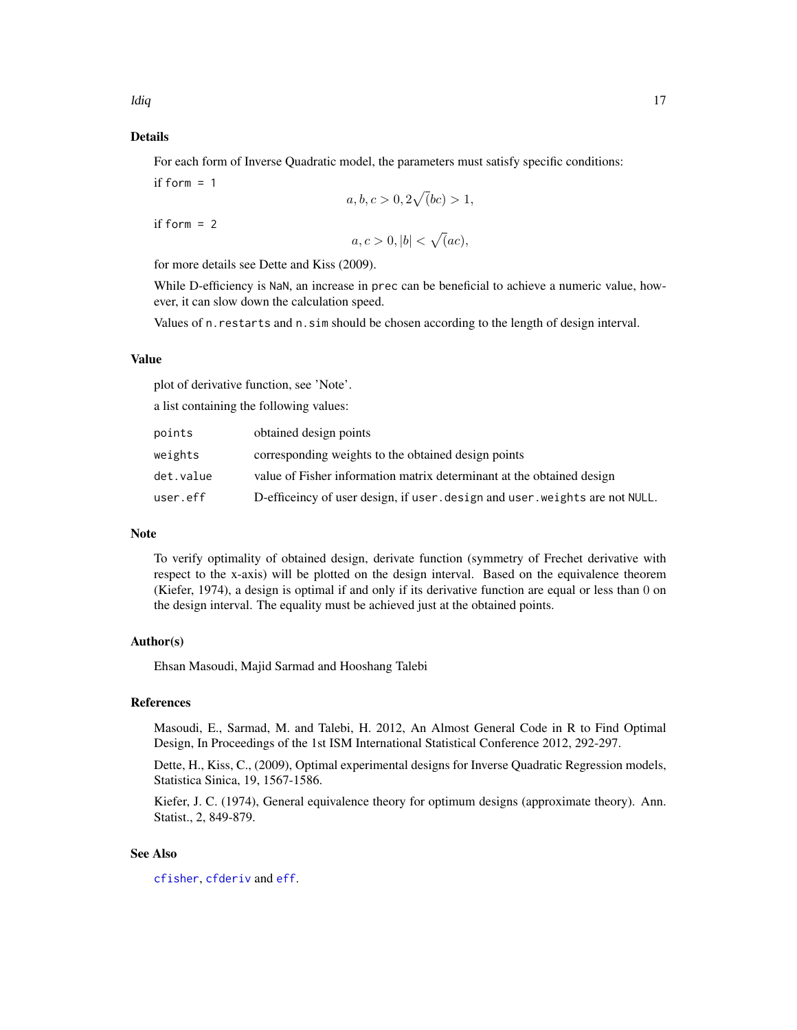# <span id="page-16-0"></span>Details

For each form of Inverse Quadratic model, the parameters must satisfy specific conditions:

if form  $= 1$ 

$$
a, b, c > 0, 2\sqrt{b}c > 1,
$$

if form  $= 2$ 

$$
a, c > 0, |b| < \sqrt(a c),
$$

for more details see Dette and Kiss (2009).

While D-efficiency is NaN, an increase in prec can be beneficial to achieve a numeric value, however, it can slow down the calculation speed.

Values of n.restarts and n.sim should be chosen according to the length of design interval.

#### Value

plot of derivative function, see 'Note'.

a list containing the following values:

| points    | obtained design points                                                       |
|-----------|------------------------------------------------------------------------------|
| weights   | corresponding weights to the obtained design points                          |
| det.value | value of Fisher information matrix determinant at the obtained design        |
| user.eff  | D-efficeincy of user design, if user, design and user, weights are not NULL. |

#### Note

To verify optimality of obtained design, derivate function (symmetry of Frechet derivative with respect to the x-axis) will be plotted on the design interval. Based on the equivalence theorem (Kiefer, 1974), a design is optimal if and only if its derivative function are equal or less than 0 on the design interval. The equality must be achieved just at the obtained points.

#### Author(s)

Ehsan Masoudi, Majid Sarmad and Hooshang Talebi

#### References

Masoudi, E., Sarmad, M. and Talebi, H. 2012, An Almost General Code in R to Find Optimal Design, In Proceedings of the 1st ISM International Statistical Conference 2012, 292-297.

Dette, H., Kiss, C., (2009), Optimal experimental designs for Inverse Quadratic Regression models, Statistica Sinica, 19, 1567-1586.

Kiefer, J. C. (1974), General equivalence theory for optimum designs (approximate theory). Ann. Statist., 2, 849-879.

## See Also

[cfisher](#page-5-1), [cfderiv](#page-2-1) and [eff](#page-8-1).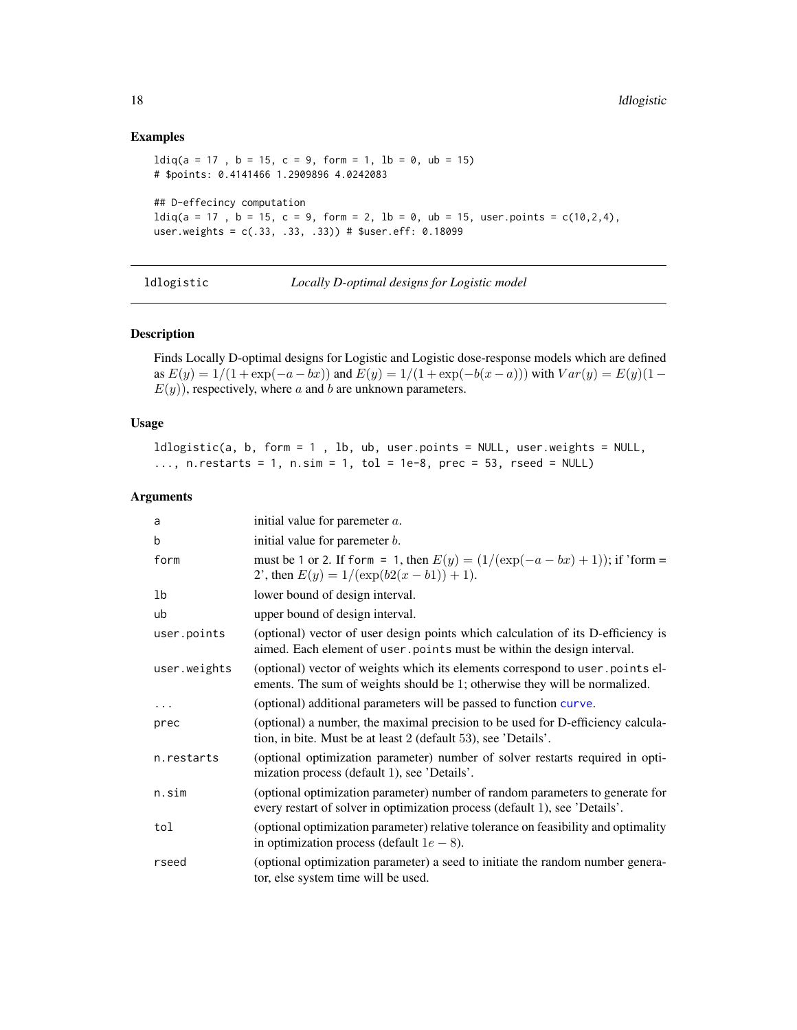#### Examples

```
ldiq(a = 17, b = 15, c = 9, form = 1, lb = 0, ub = 15)# $points: 0.4141466 1.2909896 4.0242083
## D-effecincy computation
ldiq(a = 17, b = 15, c = 9, form = 2, lb = 0, ub = 15, user points = c(10, 2, 4),user.weights = c(.33, .33, .33)) # $user.eff: 0.18099
```

|  |  | ldlogistic |  |  |  |
|--|--|------------|--|--|--|
|  |  |            |  |  |  |
|  |  |            |  |  |  |
|  |  |            |  |  |  |

Locally D-optimal designs for Logistic model

#### Description

Finds Locally D-optimal designs for Logistic and Logistic dose-response models which are defined as  $E(y) = 1/(1 + \exp(-a - bx))$  and  $E(y) = 1/(1 + \exp(-b(x - a)))$  with  $Var(y) = E(y)(1 E(y)$ , respectively, where a and b are unknown parameters.

# Usage

ldlogistic(a, b, form = 1 , lb, ub, user.points = NULL, user.weights = NULL, ..., n. restarts = 1, n. sim = 1, tol = 1e-8, prec = 53, rseed = NULL)

| a            | initial value for paremeter $a$ .                                                                                                                            |
|--------------|--------------------------------------------------------------------------------------------------------------------------------------------------------------|
| b            | initial value for paremeter $b$ .                                                                                                                            |
| form         | must be 1 or 2. If form = 1, then $E(y) = (1/(\exp(-a - bx) + 1))$ ; if 'form =<br>2', then $E(y) = 1/(\exp(b2(x - b1)) + 1)$ .                              |
| 1b           | lower bound of design interval.                                                                                                                              |
| ub           | upper bound of design interval.                                                                                                                              |
| user.points  | (optional) vector of user design points which calculation of its D-efficiency is<br>aimed. Each element of user points must be within the design interval.   |
| user.weights | (optional) vector of weights which its elements correspond to user points el-<br>ements. The sum of weights should be 1; otherwise they will be normalized.  |
| $\cdots$     | (optional) additional parameters will be passed to function curve.                                                                                           |
| prec         | (optional) a number, the maximal precision to be used for D-efficiency calcula-<br>tion, in bite. Must be at least 2 (default 53), see 'Details'.            |
| n.restarts   | (optional optimization parameter) number of solver restarts required in opti-<br>mization process (default 1), see 'Details'.                                |
| n.sim        | (optional optimization parameter) number of random parameters to generate for<br>every restart of solver in optimization process (default 1), see 'Details'. |
| tol          | (optional optimization parameter) relative tolerance on feasibility and optimality<br>in optimization process (default $1e - 8$ ).                           |
| rseed        | (optional optimization parameter) a seed to initiate the random number genera-<br>tor, else system time will be used.                                        |

<span id="page-17-0"></span>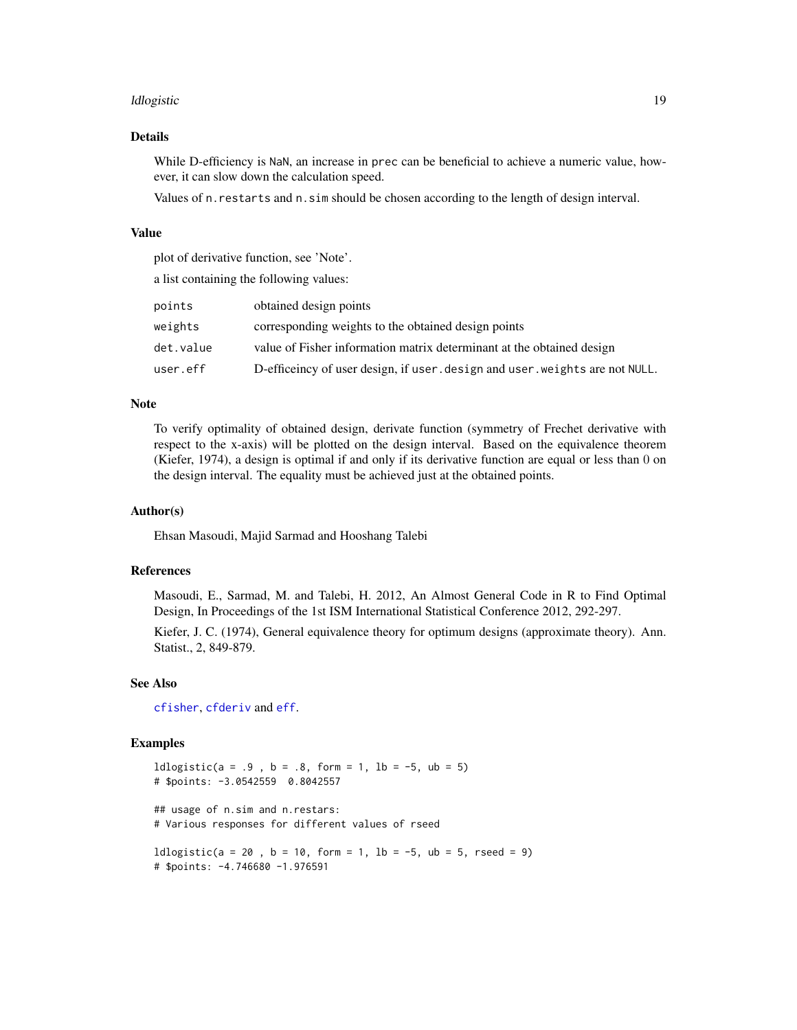#### <span id="page-18-0"></span>ldlogistic the contract of the contract of the contract of the contract of the contract of the contract of the contract of the contract of the contract of the contract of the contract of the contract of the contract of the

# Details

While D-efficiency is NaN, an increase in prec can be beneficial to achieve a numeric value, however, it can slow down the calculation speed.

Values of n.restarts and n.sim should be chosen according to the length of design interval.

#### Value

plot of derivative function, see 'Note'.

a list containing the following values:

| points    | obtained design points                                                       |
|-----------|------------------------------------------------------------------------------|
| weights   | corresponding weights to the obtained design points                          |
| det.value | value of Fisher information matrix determinant at the obtained design        |
| user.eff  | D-efficeincy of user design, if user, design and user, weights are not NULL. |

#### Note

To verify optimality of obtained design, derivate function (symmetry of Frechet derivative with respect to the x-axis) will be plotted on the design interval. Based on the equivalence theorem (Kiefer, 1974), a design is optimal if and only if its derivative function are equal or less than 0 on the design interval. The equality must be achieved just at the obtained points.

#### Author(s)

Ehsan Masoudi, Majid Sarmad and Hooshang Talebi

# References

Masoudi, E., Sarmad, M. and Talebi, H. 2012, An Almost General Code in R to Find Optimal Design, In Proceedings of the 1st ISM International Statistical Conference 2012, 292-297.

Kiefer, J. C. (1974), General equivalence theory for optimum designs (approximate theory). Ann. Statist., 2, 849-879.

#### See Also

[cfisher](#page-5-1), [cfderiv](#page-2-1) and [eff](#page-8-1).

## Examples

 $ldlogistic(a = .9, b = .8, form = 1, lb = -5, ub = 5)$ # \$points: -3.0542559 0.8042557

## usage of n.sim and n.restars: # Various responses for different values of rseed

 $ldlogistic(a = 20, b = 10, form = 1, lb = -5, ub = 5, reed = 9)$ # \$points: -4.746680 -1.976591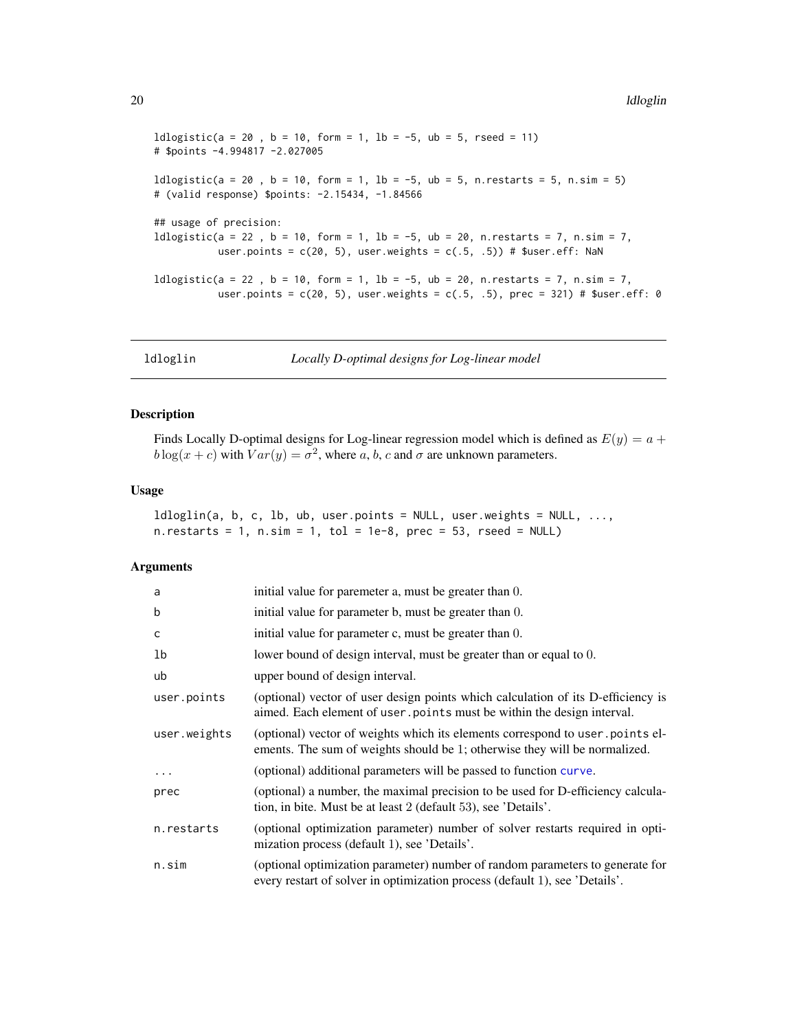```
ldlogistic(a = 20, b = 10, form = 1, lb = -5, ub = 5, resed = 11)# $points -4.994817 -2.027005
ldlogistic(a = 20 , b = 10, form = 1, lb = -5, ub = 5, n.restarts = 5, n.sim = 5)
# (valid response) $points: -2.15434, -1.84566
## usage of precision:
ldlogistic(a = 22 , b = 10, form = 1, lb = -5, ub = 20, n.restarts = 7, n.sim = 7,
           user.points = c(20, 5), user.weights = c(.5, .5)) # $user.eff: NaN
ldlogistic(a = 22 , b = 10, form = 1, lb = -5, ub = 20, n.restarts = 7, n.sim = 7,
           user.points = c(20, 5), user.weights = c(.5, .5), prec = 321) # $user.eff: 0
```
ldloglin *Locally D-optimal designs for Log-linear model*

#### Description

Finds Locally D-optimal designs for Log-linear regression model which is defined as  $E(y) = a +$  $b \log(x + c)$  with  $Var(y) = \sigma^2$ , where a, b, c and  $\sigma$  are unknown parameters.

#### Usage

 $ldloglin(a, b, c, lb, ub, user points = NULL, user.weights = NULL, ...,$ n.restarts = 1, n.sim = 1, tol = 1e-8, prec = 53, rseed =  $NULL$ )

| a            | initial value for paremeter a, must be greater than 0.                                                                                                       |
|--------------|--------------------------------------------------------------------------------------------------------------------------------------------------------------|
| b            | initial value for parameter b, must be greater than 0.                                                                                                       |
| C            | initial value for parameter c, must be greater than 0.                                                                                                       |
| 1b           | lower bound of design interval, must be greater than or equal to 0.                                                                                          |
| ub           | upper bound of design interval.                                                                                                                              |
| user.points  | (optional) vector of user design points which calculation of its D-efficiency is<br>aimed. Each element of user points must be within the design interval.   |
| user.weights | (optional) vector of weights which its elements correspond to user points el-<br>ements. The sum of weights should be 1; otherwise they will be normalized.  |
| $\ddots$ .   | (optional) additional parameters will be passed to function curve.                                                                                           |
| prec         | (optional) a number, the maximal precision to be used for D-efficiency calcula-<br>tion, in bite. Must be at least 2 (default 53), see 'Details'.            |
| n.restarts   | (optional optimization parameter) number of solver restarts required in opti-<br>mization process (default 1), see 'Details'.                                |
| n.sim        | (optional optimization parameter) number of random parameters to generate for<br>every restart of solver in optimization process (default 1), see 'Details'. |

<span id="page-19-0"></span>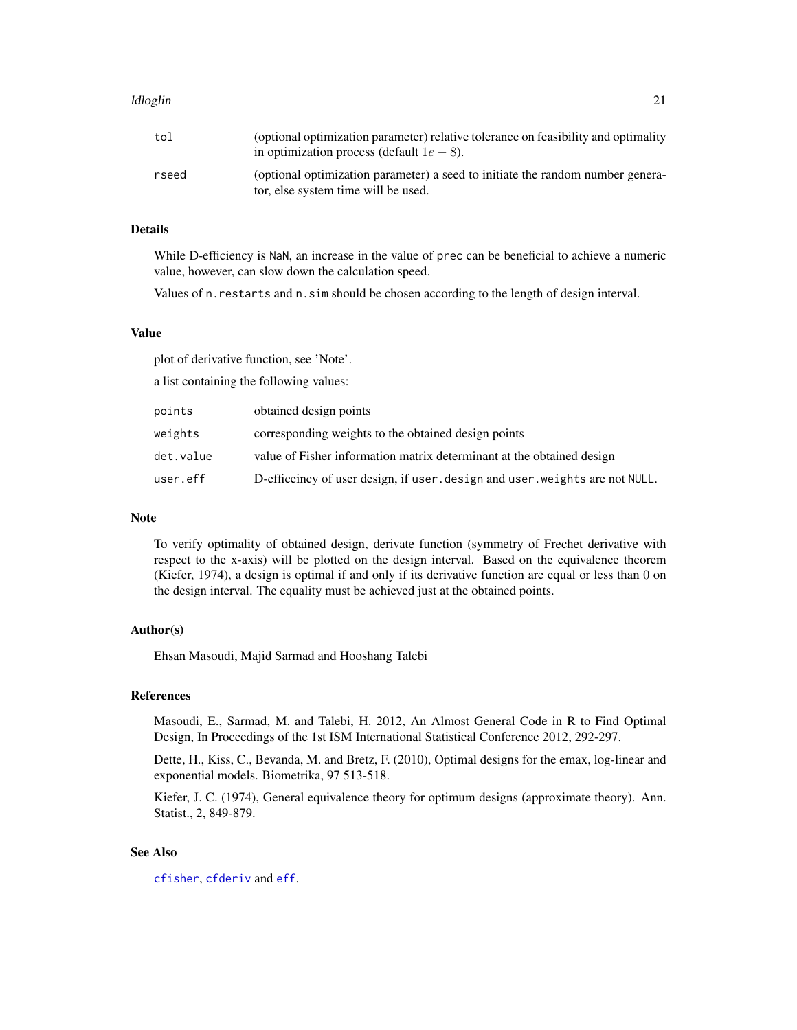#### <span id="page-20-0"></span>ldloglin 21

# Details

While D-efficiency is NaN, an increase in the value of prec can be beneficial to achieve a numeric value, however, can slow down the calculation speed.

Values of n.restarts and n.sim should be chosen according to the length of design interval.

#### Value

plot of derivative function, see 'Note'.

a list containing the following values:

| points    | obtained design points                                                       |
|-----------|------------------------------------------------------------------------------|
| weights   | corresponding weights to the obtained design points                          |
| det.value | value of Fisher information matrix determinant at the obtained design        |
| user.eff  | D-efficeincy of user design, if user, design and user, weights are not NULL. |

#### Note

To verify optimality of obtained design, derivate function (symmetry of Frechet derivative with respect to the x-axis) will be plotted on the design interval. Based on the equivalence theorem (Kiefer, 1974), a design is optimal if and only if its derivative function are equal or less than 0 on the design interval. The equality must be achieved just at the obtained points.

#### Author(s)

Ehsan Masoudi, Majid Sarmad and Hooshang Talebi

# References

Masoudi, E., Sarmad, M. and Talebi, H. 2012, An Almost General Code in R to Find Optimal Design, In Proceedings of the 1st ISM International Statistical Conference 2012, 292-297.

Dette, H., Kiss, C., Bevanda, M. and Bretz, F. (2010), Optimal designs for the emax, log-linear and exponential models. Biometrika, 97 513-518.

Kiefer, J. C. (1974), General equivalence theory for optimum designs (approximate theory). Ann. Statist., 2, 849-879.

#### See Also

[cfisher](#page-5-1), [cfderiv](#page-2-1) and [eff](#page-8-1).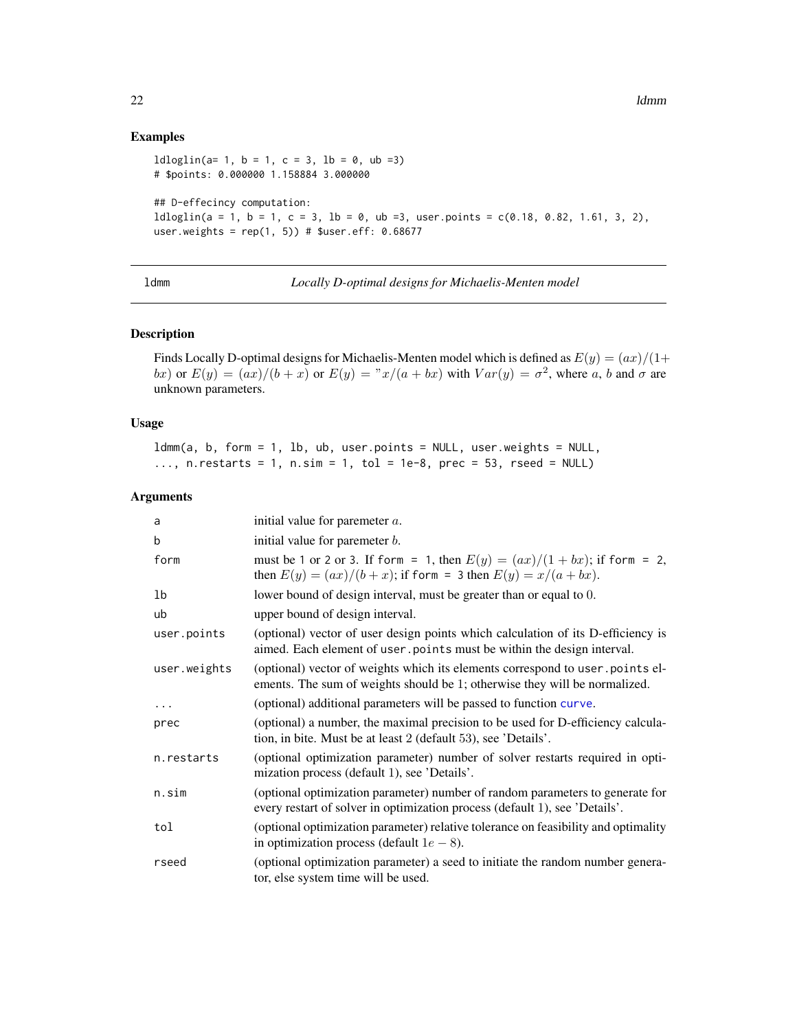#### Examples

```
ldloglin(a= 1, b = 1, c = 3, lb = 0, ub =3)# $points: 0.000000 1.158884 3.000000
## D-effecincy computation:
ldloglin(a = 1, b = 1, c = 3, lb = 0, ub = 3, user points = c(0.18, 0.82, 1.61, 3, 2),user.weights = rep(1, 5)) # $user.eff: 0.68677
```
ldmm *Locally D-optimal designs for Michaelis-Menten model*

#### Description

Finds Locally D-optimal designs for Michaelis-Menten model which is defined as  $E(y) = (ax)/(1 +$ bx) or  $E(y) = (ax)/(b + x)$  or  $E(y) = x/(a + bx)$  with  $Var(y) = \sigma^2$ , where a, b and  $\sigma$  are unknown parameters.

# Usage

ldmm(a, b, form = 1, lb, ub, user.points = NULL, user.weights = NULL,  $\ldots$ , n.restarts = 1, n.sim = 1, tol = 1e-8, prec = 53, rseed = NULL)

| a            | initial value for paremeter $a$ .                                                                                                                            |
|--------------|--------------------------------------------------------------------------------------------------------------------------------------------------------------|
| b            | initial value for paremeter $b$ .                                                                                                                            |
| form         | must be 1 or 2 or 3. If form = 1, then $E(y) = (ax)/(1+bx)$ ; if form = 2,<br>then $E(y) = (ax)/(b + x)$ ; if form = 3 then $E(y) = x/(a + bx)$ .            |
| 1b           | lower bound of design interval, must be greater than or equal to 0.                                                                                          |
| ub           | upper bound of design interval.                                                                                                                              |
| user.points  | (optional) vector of user design points which calculation of its D-efficiency is<br>aimed. Each element of user points must be within the design interval.   |
| user.weights | (optional) vector of weights which its elements correspond to user points el-<br>ements. The sum of weights should be 1; otherwise they will be normalized.  |
| .            | (optional) additional parameters will be passed to function curve.                                                                                           |
| prec         | (optional) a number, the maximal precision to be used for D-efficiency calcula-<br>tion, in bite. Must be at least 2 (default 53), see 'Details'.            |
| n.restarts   | (optional optimization parameter) number of solver restarts required in opti-<br>mization process (default 1), see 'Details'.                                |
| n.sim        | (optional optimization parameter) number of random parameters to generate for<br>every restart of solver in optimization process (default 1), see 'Details'. |
| tol          | (optional optimization parameter) relative tolerance on feasibility and optimality<br>in optimization process (default $1e - 8$ ).                           |
| rseed        | (optional optimization parameter) a seed to initiate the random number genera-<br>tor, else system time will be used.                                        |

<span id="page-21-0"></span>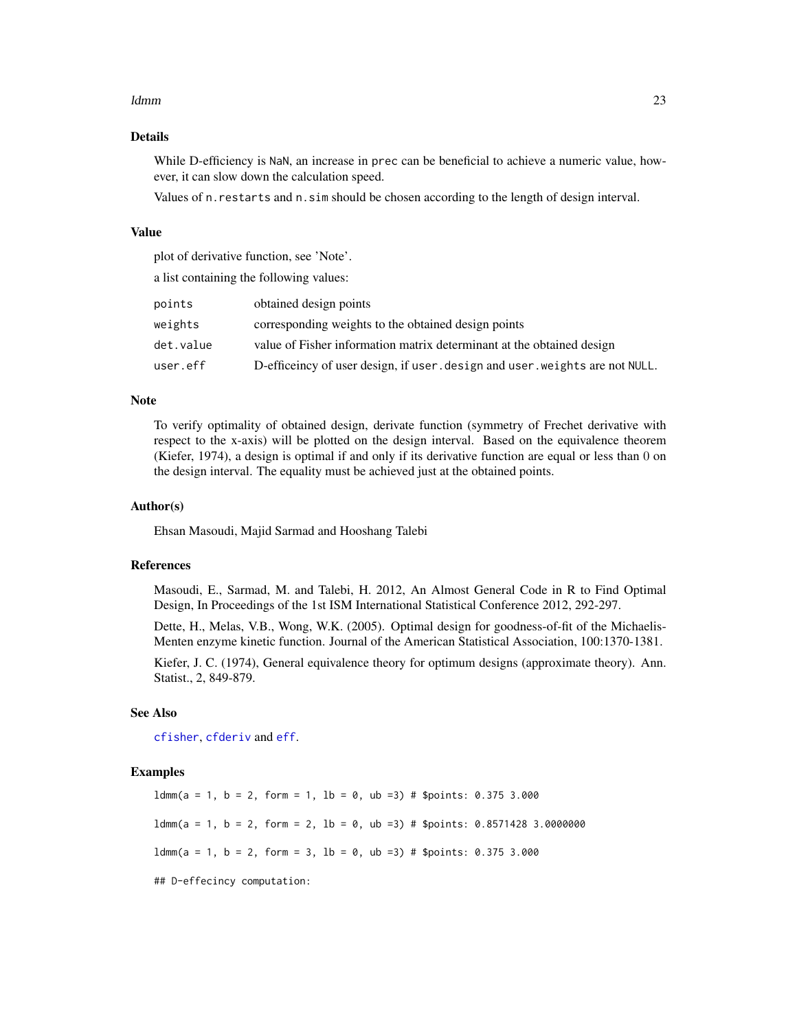#### <span id="page-22-0"></span>ldmm 23

# Details

While D-efficiency is NaN, an increase in prec can be beneficial to achieve a numeric value, however, it can slow down the calculation speed.

Values of n.restarts and n.sim should be chosen according to the length of design interval.

# Value

plot of derivative function, see 'Note'.

a list containing the following values:

| points    | obtained design points                                                     |
|-----------|----------------------------------------------------------------------------|
| weights   | corresponding weights to the obtained design points                        |
| det.value | value of Fisher information matrix determinant at the obtained design      |
| user.eff  | D-efficeincy of user design, if user design and user weights are not NULL. |

#### Note

To verify optimality of obtained design, derivate function (symmetry of Frechet derivative with respect to the x-axis) will be plotted on the design interval. Based on the equivalence theorem (Kiefer, 1974), a design is optimal if and only if its derivative function are equal or less than 0 on the design interval. The equality must be achieved just at the obtained points.

#### Author(s)

Ehsan Masoudi, Majid Sarmad and Hooshang Talebi

#### References

Masoudi, E., Sarmad, M. and Talebi, H. 2012, An Almost General Code in R to Find Optimal Design, In Proceedings of the 1st ISM International Statistical Conference 2012, 292-297.

Dette, H., Melas, V.B., Wong, W.K. (2005). Optimal design for goodness-of-fit of the Michaelis-Menten enzyme kinetic function. Journal of the American Statistical Association, 100:1370-1381.

Kiefer, J. C. (1974), General equivalence theory for optimum designs (approximate theory). Ann. Statist., 2, 849-879.

# See Also

[cfisher](#page-5-1), [cfderiv](#page-2-1) and [eff](#page-8-1).

#### Examples

 $ldmm(a = 1, b = 2, form = 1, lb = 0, ub = 3) # Spoints: 0.375 3.000$  $ldmm(a = 1, b = 2, form = 2, lb = 0, ub = 3) # Spoints: 0.8571428 3.0000000$  $ldmm(a = 1, b = 2, form = 3, lb = 0, ub = 3) # Spoints: 0.375 3.000$ ## D-effecincy computation: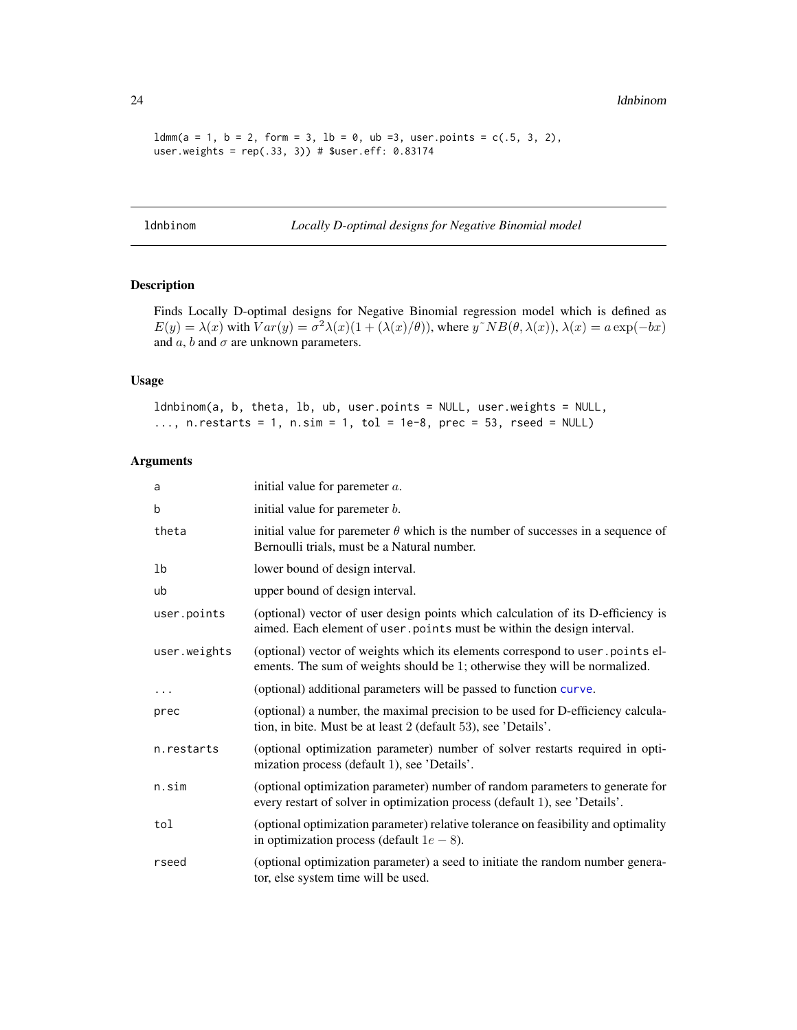$ldmm(a = 1, b = 2, form = 3, lb = 0, ub =3, user points = c(.5, 3, 2),$ user.weights =  $rep(.33, 3))$  # \$user.eff:  $0.83174$ 

ldnbinom *Locally D-optimal designs for Negative Binomial model*

# Description

Finds Locally D-optimal designs for Negative Binomial regression model which is defined as  $E(y) = \lambda(x)$  with  $Var(y) = \sigma^2 \lambda(x) (1 + (\lambda(x)/\theta))$ , where  $y^N \Delta B(\theta, \lambda(x))$ ,  $\lambda(x) = a \exp(-bx)$ and  $a$ ,  $b$  and  $\sigma$  are unknown parameters.

#### Usage

ldnbinom(a, b, theta, lb, ub, user.points = NULL, user.weights = NULL, ..., n. restarts = 1, n. sim = 1, tol = 1e-8, prec = 53, rseed = NULL)

| a            | initial value for paremeter $a$ .                                                                                                                            |
|--------------|--------------------------------------------------------------------------------------------------------------------------------------------------------------|
| b            | initial value for paremeter $b$ .                                                                                                                            |
| theta        | initial value for paremeter $\theta$ which is the number of successes in a sequence of<br>Bernoulli trials, must be a Natural number.                        |
| 1b           | lower bound of design interval.                                                                                                                              |
| ub           | upper bound of design interval.                                                                                                                              |
| user.points  | (optional) vector of user design points which calculation of its D-efficiency is<br>aimed. Each element of user . points must be within the design interval. |
| user.weights | (optional) vector of weights which its elements correspond to user points el-<br>ements. The sum of weights should be 1; otherwise they will be normalized.  |
| $\cdots$     | (optional) additional parameters will be passed to function curve.                                                                                           |
| prec         | (optional) a number, the maximal precision to be used for D-efficiency calcula-<br>tion, in bite. Must be at least 2 (default 53), see 'Details'.            |
| n.restarts   | (optional optimization parameter) number of solver restarts required in opti-<br>mization process (default 1), see 'Details'.                                |
| n.sim        | (optional optimization parameter) number of random parameters to generate for<br>every restart of solver in optimization process (default 1), see 'Details'. |
| tol          | (optional optimization parameter) relative tolerance on feasibility and optimality<br>in optimization process (default $1e - 8$ ).                           |
| rseed        | (optional optimization parameter) a seed to initiate the random number genera-<br>tor, else system time will be used.                                        |

<span id="page-23-0"></span>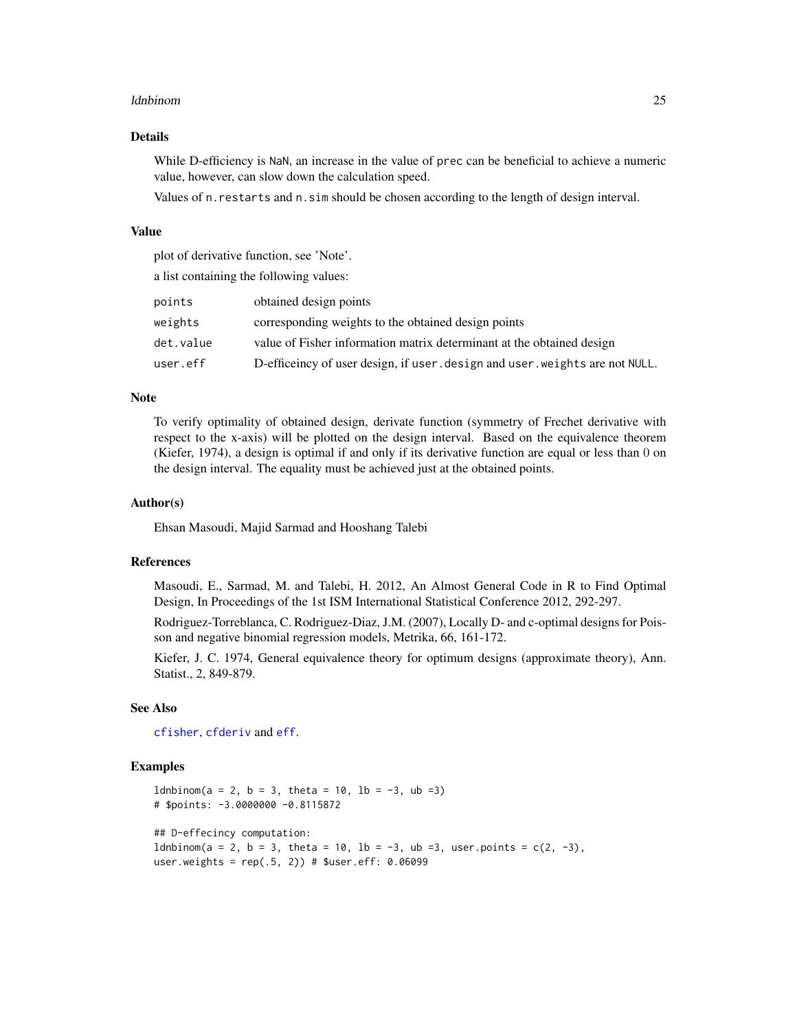#### <span id="page-24-0"></span>ldnbinom 25

#### Details

While D-efficiency is NaN, an increase in the value of prec can be beneficial to achieve a numeric value, however, can slow down the calculation speed.

Values of n.restarts and n.sim should be chosen according to the length of design interval.

#### Value

plot of derivative function, see 'Note'.

a list containing the following values:

| points    | obtained design points                                                       |
|-----------|------------------------------------------------------------------------------|
| weights   | corresponding weights to the obtained design points                          |
| det.value | value of Fisher information matrix determinant at the obtained design        |
| user.eff  | D-efficeincy of user design, if user, design and user, weights are not NULL. |

#### **Note**

To verify optimality of obtained design, derivate function (symmetry of Frechet derivative with respect to the x-axis) will be plotted on the design interval. Based on the equivalence theorem (Kiefer, 1974), a design is optimal if and only if its derivative function are equal or less than 0 on the design interval. The equality must be achieved just at the obtained points.

#### Author(s)

Ehsan Masoudi, Majid Sarmad and Hooshang Talebi

#### References

Masoudi, E., Sarmad, M. and Talebi, H. 2012, An Almost General Code in R to Find Optimal Design, In Proceedings of the 1st ISM International Statistical Conference 2012, 292-297.

Rodriguez-Torreblanca, C. Rodriguez-Diaz, J.M. (2007), Locally D- and c-optimal designs for Poisson and negative binomial regression models, Metrika, 66, 161-172.

Kiefer, J. C. 1974, General equivalence theory for optimum designs (approximate theory), Ann. Statist., 2, 849-879.

# See Also

[cfisher](#page-5-1), [cfderiv](#page-2-1) and [eff](#page-8-1).

# Examples

```
ldnbinom(a = 2, b = 3, theta = 10, lb = -3, ub =3)# $points: -3.0000000 -0.8115872
## D-effecincy computation:
ldnbinom(a = 2, b = 3, theta = 10, lb = -3, ub = 3, user points = c(2, -3),user.weights = rep(.5, 2)) # $user.eff: 0.06099
```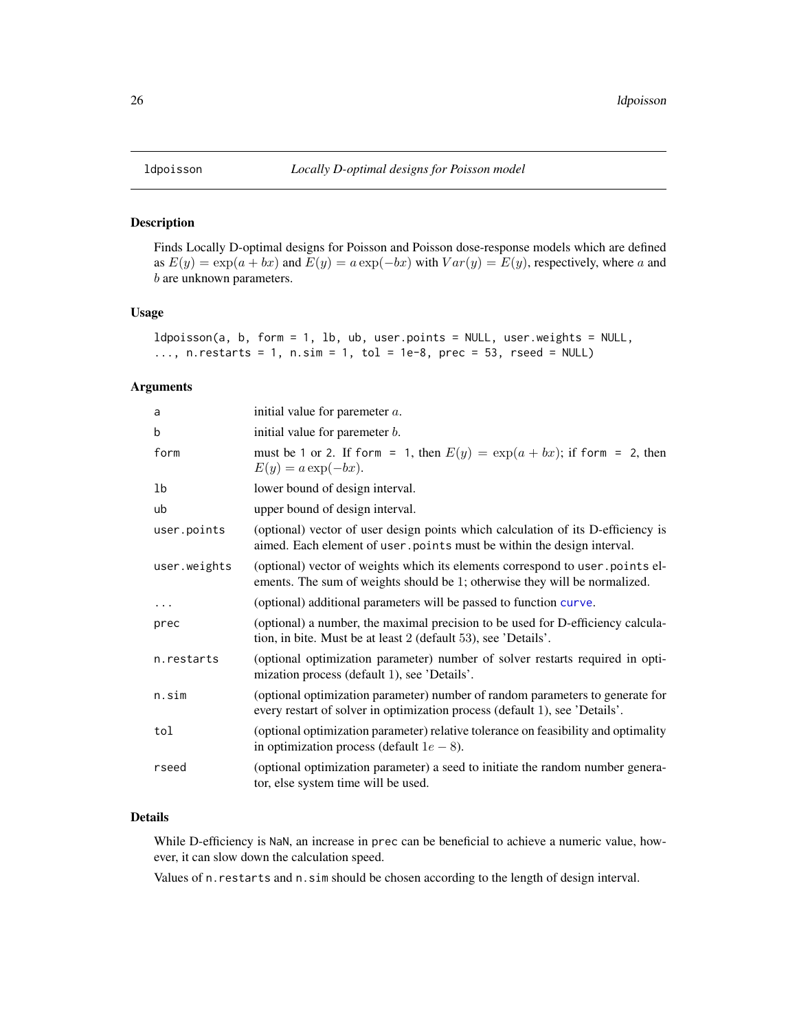<span id="page-25-0"></span>

# Description

Finds Locally D-optimal designs for Poisson and Poisson dose-response models which are defined as  $E(y) = \exp(a + bx)$  and  $E(y) = a \exp(-bx)$  with  $Var(y) = E(y)$ , respectively, where a and b are unknown parameters.

#### Usage

```
ldpoisson(a, b, form = 1, lb, ub, user.points = NULL, user.weights = NULL,
\ldots, n. restarts = 1, n. sim = 1, tol = 1e-8, prec = 53, rseed = NULL)
```
#### Arguments

| a            | initial value for paremeter $a$ .                                                                                                                            |
|--------------|--------------------------------------------------------------------------------------------------------------------------------------------------------------|
| b            | initial value for paremeter <i>b</i> .                                                                                                                       |
| form         | must be 1 or 2. If form = 1, then $E(y) = \exp(a + bx)$ ; if form = 2, then<br>$E(y) = a \exp(-bx).$                                                         |
| 1b           | lower bound of design interval.                                                                                                                              |
| ub           | upper bound of design interval.                                                                                                                              |
| user.points  | (optional) vector of user design points which calculation of its D-efficiency is<br>aimed. Each element of user points must be within the design interval.   |
| user.weights | (optional) vector of weights which its elements correspond to user points el-<br>ements. The sum of weights should be 1; otherwise they will be normalized.  |
| $\cdots$     | (optional) additional parameters will be passed to function curve.                                                                                           |
| prec         | (optional) a number, the maximal precision to be used for D-efficiency calcula-<br>tion, in bite. Must be at least 2 (default 53), see 'Details'.            |
| n.restarts   | (optional optimization parameter) number of solver restarts required in opti-<br>mization process (default 1), see 'Details'.                                |
| n.sim        | (optional optimization parameter) number of random parameters to generate for<br>every restart of solver in optimization process (default 1), see 'Details'. |
| tol          | (optional optimization parameter) relative tolerance on feasibility and optimality<br>in optimization process (default $1e - 8$ ).                           |
| rseed        | (optional optimization parameter) a seed to initiate the random number genera-<br>tor, else system time will be used.                                        |

# Details

While D-efficiency is NaN, an increase in prec can be beneficial to achieve a numeric value, however, it can slow down the calculation speed.

Values of n.restarts and n.sim should be chosen according to the length of design interval.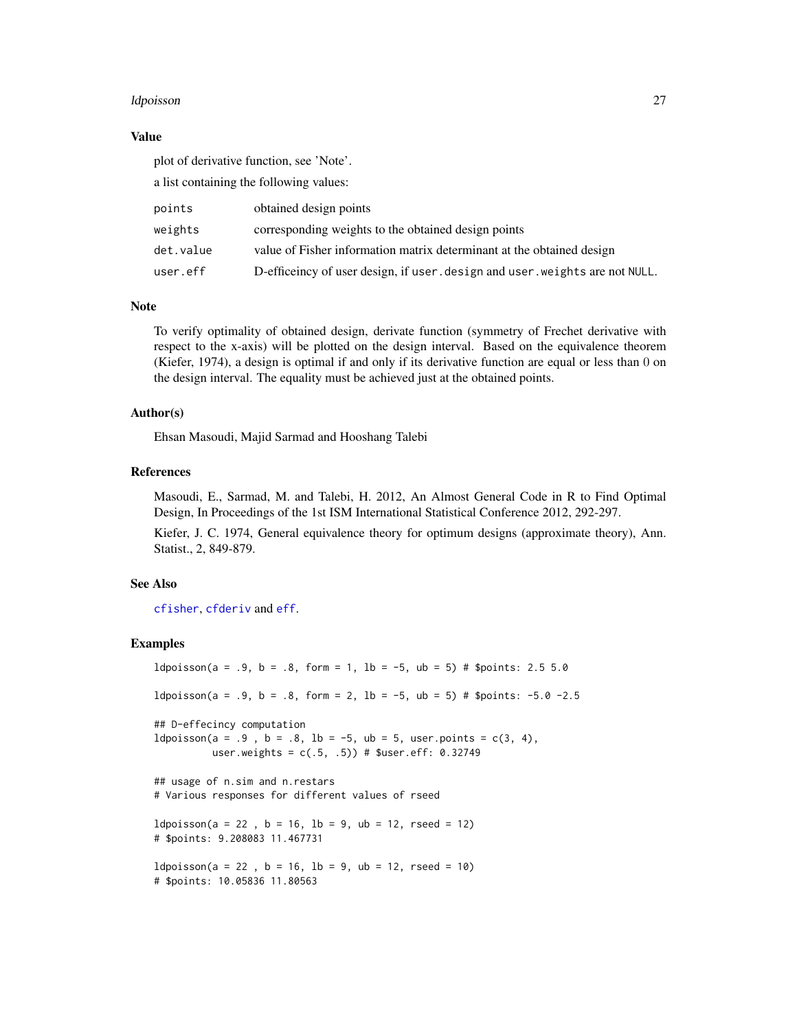#### <span id="page-26-0"></span>ldpoisson 27

#### Value

plot of derivative function, see 'Note'.

a list containing the following values:

| points    | obtained design points                                                       |
|-----------|------------------------------------------------------------------------------|
| weights   | corresponding weights to the obtained design points                          |
| det.value | value of Fisher information matrix determinant at the obtained design        |
| user.eff  | D-efficeincy of user design, if user, design and user, weights are not NULL. |

### **Note**

To verify optimality of obtained design, derivate function (symmetry of Frechet derivative with respect to the x-axis) will be plotted on the design interval. Based on the equivalence theorem (Kiefer, 1974), a design is optimal if and only if its derivative function are equal or less than 0 on the design interval. The equality must be achieved just at the obtained points.

## Author(s)

Ehsan Masoudi, Majid Sarmad and Hooshang Talebi

#### References

Masoudi, E., Sarmad, M. and Talebi, H. 2012, An Almost General Code in R to Find Optimal Design, In Proceedings of the 1st ISM International Statistical Conference 2012, 292-297.

Kiefer, J. C. 1974, General equivalence theory for optimum designs (approximate theory), Ann. Statist., 2, 849-879.

#### See Also

[cfisher](#page-5-1), [cfderiv](#page-2-1) and [eff](#page-8-1).

#### Examples

 $ldpoisson(a = .9, b = .8, form = 1, lb = -5, ub = 5) # Spoints: 2.5 5.0$ ldpoisson(a = .9, b = .8, form = 2, lb = -5, ub = 5) # \$points: -5.0 -2.5 ## D-effecincy computation  $ldpoisson(a = .9, b = .8, lb = -5, ub = 5, user points = c(3, 4),$ user.weights = c(.5, .5)) # \$user.eff: 0.32749 ## usage of n.sim and n.restars # Various responses for different values of rseed  $ldpoisson(a = 22, b = 16, lb = 9, ub = 12, rseed = 12)$ # \$points: 9.208083 11.467731  $ldpoisson(a = 22, b = 16, lb = 9, ub = 12, rseed = 10)$ # \$points: 10.05836 11.80563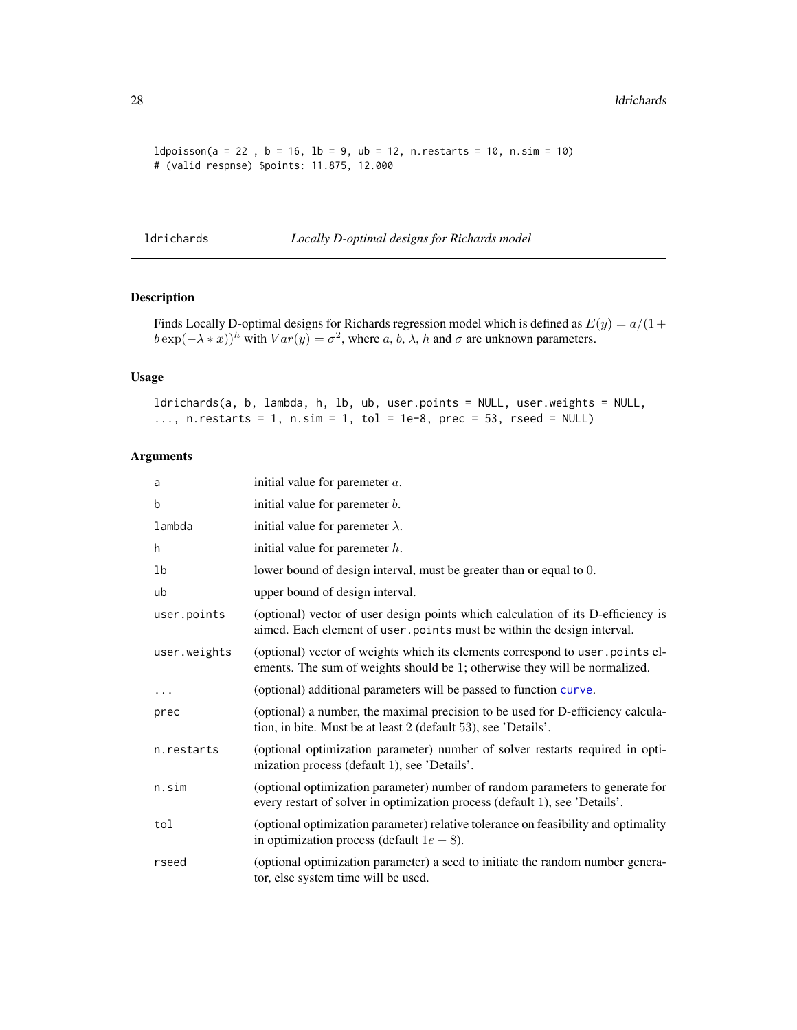```
ldpoisson(a = 22, b = 16, lb = 9, ub = 12, n. restarts = 10, n.sim = 10)# (valid respnse) $points: 11.875, 12.000
```
ldrichards *Locally D-optimal designs for Richards model*

### Description

Finds Locally D-optimal designs for Richards regression model which is defined as  $E(y) = a/(1 +$  $b \exp(-\lambda * x))^h$  with  $Var(y) = \sigma^2$ , where a, b,  $\lambda$ , h and  $\sigma$  are unknown parameters.

#### Usage

ldrichards(a, b, lambda, h, lb, ub, user.points = NULL, user.weights = NULL, ..., n. restarts = 1, n. sim = 1, tol = 1e-8, prec = 53, rseed = NULL)

| a            | initial value for paremeter $a$ .                                                                                                                            |
|--------------|--------------------------------------------------------------------------------------------------------------------------------------------------------------|
| b            | initial value for paremeter <i>b</i> .                                                                                                                       |
| lambda       | initial value for paremeter $\lambda$ .                                                                                                                      |
| h            | initial value for paremeter $h$ .                                                                                                                            |
| 1b           | lower bound of design interval, must be greater than or equal to 0.                                                                                          |
| ub           | upper bound of design interval.                                                                                                                              |
| user.points  | (optional) vector of user design points which calculation of its D-efficiency is<br>aimed. Each element of user . points must be within the design interval. |
| user.weights | (optional) vector of weights which its elements correspond to user.points el-<br>ements. The sum of weights should be 1; otherwise they will be normalized.  |
| $\cdots$     | (optional) additional parameters will be passed to function curve.                                                                                           |
| prec         | (optional) a number, the maximal precision to be used for D-efficiency calcula-<br>tion, in bite. Must be at least 2 (default 53), see 'Details'.            |
| n.restarts   | (optional optimization parameter) number of solver restarts required in opti-<br>mization process (default 1), see 'Details'.                                |
| n.sim        | (optional optimization parameter) number of random parameters to generate for<br>every restart of solver in optimization process (default 1), see 'Details'. |
| tol          | (optional optimization parameter) relative tolerance on feasibility and optimality<br>in optimization process (default $1e - 8$ ).                           |
| rseed        | (optional optimization parameter) a seed to initiate the random number genera-<br>tor, else system time will be used.                                        |

<span id="page-27-0"></span>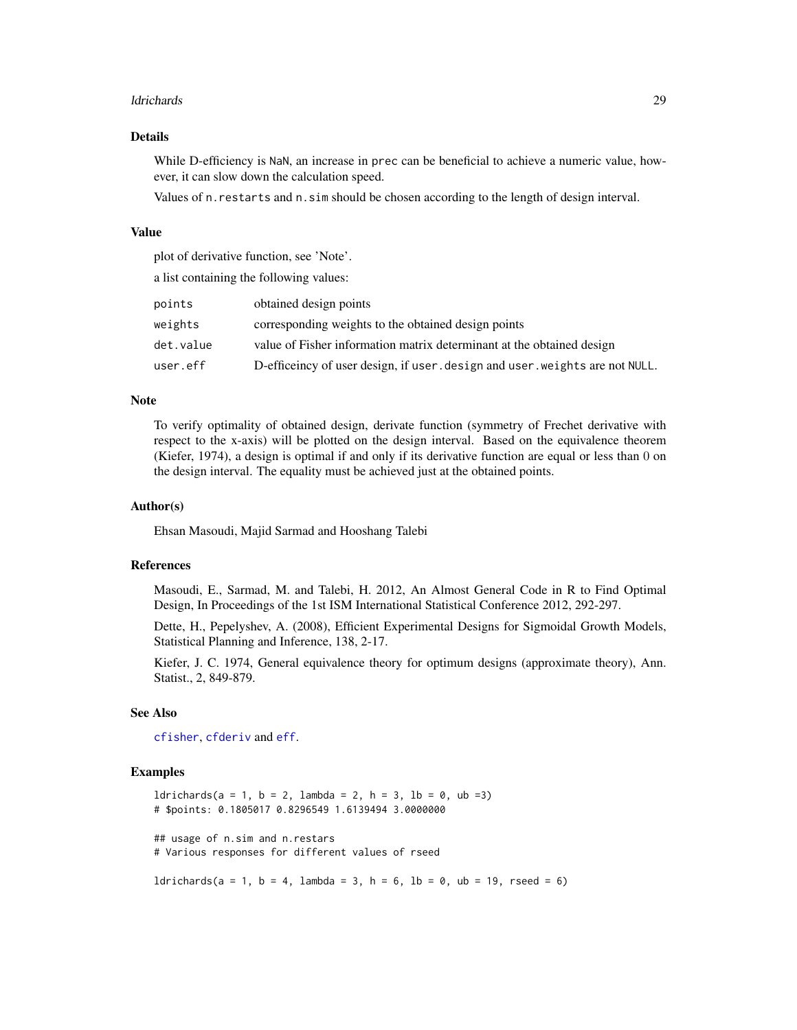#### <span id="page-28-0"></span>ldrichards 29

#### Details

While D-efficiency is NaN, an increase in prec can be beneficial to achieve a numeric value, however, it can slow down the calculation speed.

Values of n.restarts and n.sim should be chosen according to the length of design interval.

# Value

plot of derivative function, see 'Note'.

a list containing the following values:

| points    | obtained design points                                                       |
|-----------|------------------------------------------------------------------------------|
| weights   | corresponding weights to the obtained design points                          |
| det.value | value of Fisher information matrix determinant at the obtained design        |
| user.eff  | D-efficeincy of user design, if user, design and user, weights are not NULL. |

#### Note

To verify optimality of obtained design, derivate function (symmetry of Frechet derivative with respect to the x-axis) will be plotted on the design interval. Based on the equivalence theorem (Kiefer, 1974), a design is optimal if and only if its derivative function are equal or less than 0 on the design interval. The equality must be achieved just at the obtained points.

#### Author(s)

Ehsan Masoudi, Majid Sarmad and Hooshang Talebi

#### References

Masoudi, E., Sarmad, M. and Talebi, H. 2012, An Almost General Code in R to Find Optimal Design, In Proceedings of the 1st ISM International Statistical Conference 2012, 292-297.

Dette, H., Pepelyshev, A. (2008), Efficient Experimental Designs for Sigmoidal Growth Models, Statistical Planning and Inference, 138, 2-17.

Kiefer, J. C. 1974, General equivalence theory for optimum designs (approximate theory), Ann. Statist., 2, 849-879.

# See Also

[cfisher](#page-5-1), [cfderiv](#page-2-1) and [eff](#page-8-1).

#### Examples

```
ldrichards(a = 1, b = 2, lambda = 2, h = 3, lb = 0, ub = 3)
# $points: 0.1805017 0.8296549 1.6139494 3.0000000
## usage of n.sim and n.restars
# Various responses for different values of rseed
```
 $ldrichards(a = 1, b = 4, lambda = 3, h = 6, lb = 0, ub = 19, rseed = 6)$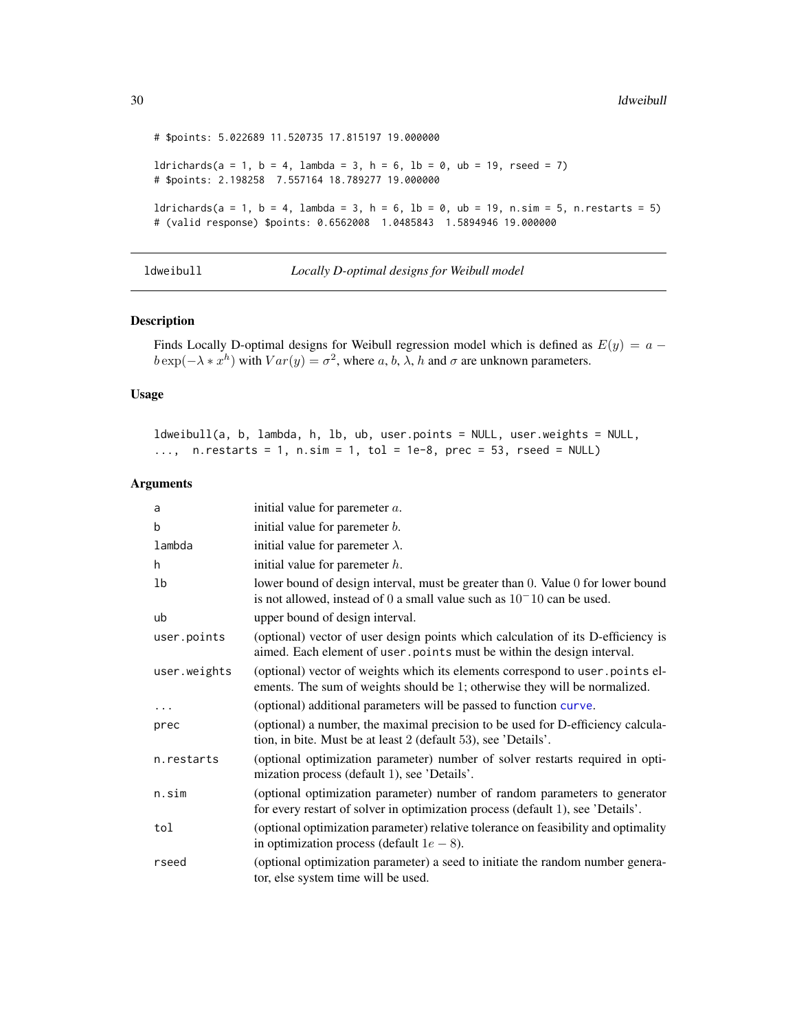```
# $points: 5.022689 11.520735 17.815197 19.000000
ldrichards(a = 1, b = 4, lambda = 3, h = 6, lb = 0, ub = 19, rseed = 7)# $points: 2.198258 7.557164 18.789277 19.000000
ldrichards(a = 1, b = 4, lambda = 3, h = 6, lb = 0, ub = 19, n.sim = 5, n.restarts = 5)
# (valid response) $points: 0.6562008 1.0485843 1.5894946 19.000000
```
ldweibull *Locally D-optimal designs for Weibull model*

#### Description

Finds Locally D-optimal designs for Weibull regression model which is defined as  $E(y) = a$  $b \exp(-\lambda * x^h)$  with  $Var(y) = \sigma^2$ , where a, b,  $\lambda$ , h and  $\sigma$  are unknown parameters.

#### Usage

ldweibull(a, b, lambda, h, lb, ub, user.points = NULL, user.weights = NULL, ..., n. restarts = 1, n. sim = 1, tol = 1e-8, prec = 53, rseed = NULL)

| a            | initial value for paremeter $a$ .                                                                                                                             |
|--------------|---------------------------------------------------------------------------------------------------------------------------------------------------------------|
| b            | initial value for paremeter <i>b</i> .                                                                                                                        |
| lambda       | initial value for paremeter $\lambda$ .                                                                                                                       |
| h            | initial value for paremeter $h$ .                                                                                                                             |
| 1b           | lower bound of design interval, must be greater than 0. Value 0 for lower bound<br>is not allowed, instead of 0 a small value such as $10-10$ can be used.    |
| ub           | upper bound of design interval.                                                                                                                               |
| user.points  | (optional) vector of user design points which calculation of its D-efficiency is<br>aimed. Each element of user . points must be within the design interval.  |
| user.weights | (optional) vector of weights which its elements correspond to user.points el-<br>ements. The sum of weights should be 1; otherwise they will be normalized.   |
| $\ddotsc$    | (optional) additional parameters will be passed to function curve.                                                                                            |
| prec         | (optional) a number, the maximal precision to be used for D-efficiency calcula-<br>tion, in bite. Must be at least 2 (default 53), see 'Details'.             |
| n.restarts   | (optional optimization parameter) number of solver restarts required in opti-<br>mization process (default 1), see 'Details'.                                 |
| n.sim        | (optional optimization parameter) number of random parameters to generator<br>for every restart of solver in optimization process (default 1), see 'Details'. |
| tol          | (optional optimization parameter) relative tolerance on feasibility and optimality<br>in optimization process (default $1e - 8$ ).                            |
| rseed        | (optional optimization parameter) a seed to initiate the random number genera-<br>tor, else system time will be used.                                         |

<span id="page-29-0"></span>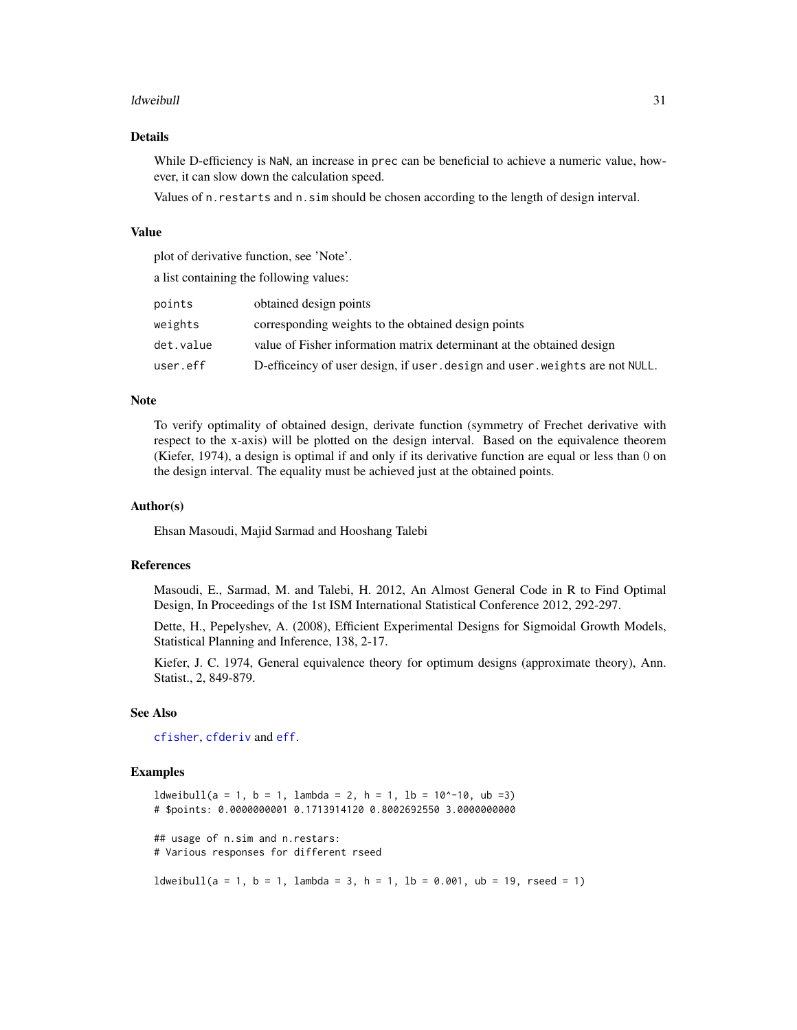#### <span id="page-30-0"></span>ldweibull 31

# Details

While D-efficiency is NaN, an increase in prec can be beneficial to achieve a numeric value, however, it can slow down the calculation speed.

Values of n.restarts and n.sim should be chosen according to the length of design interval.

# Value

plot of derivative function, see 'Note'.

a list containing the following values:

| points    | obtained design points                                                       |
|-----------|------------------------------------------------------------------------------|
| weights   | corresponding weights to the obtained design points                          |
| det.value | value of Fisher information matrix determinant at the obtained design        |
| user.eff  | D-efficeincy of user design, if user, design and user, weights are not NULL. |

#### Note

To verify optimality of obtained design, derivate function (symmetry of Frechet derivative with respect to the x-axis) will be plotted on the design interval. Based on the equivalence theorem (Kiefer, 1974), a design is optimal if and only if its derivative function are equal or less than 0 on the design interval. The equality must be achieved just at the obtained points.

#### Author(s)

Ehsan Masoudi, Majid Sarmad and Hooshang Talebi

#### References

Masoudi, E., Sarmad, M. and Talebi, H. 2012, An Almost General Code in R to Find Optimal Design, In Proceedings of the 1st ISM International Statistical Conference 2012, 292-297.

Dette, H., Pepelyshev, A. (2008), Efficient Experimental Designs for Sigmoidal Growth Models, Statistical Planning and Inference, 138, 2-17.

Kiefer, J. C. 1974, General equivalence theory for optimum designs (approximate theory), Ann. Statist., 2, 849-879.

#### See Also

[cfisher](#page-5-1), [cfderiv](#page-2-1) and [eff](#page-8-1).

#### Examples

 $ldweibull(a = 1, b = 1, lambda = 2, h = 1, lb = 10^ -10, ub =3)$ # \$points: 0.0000000001 0.1713914120 0.8002692550 3.0000000000 ## usage of n.sim and n.restars: # Various responses for different rseed  $ldweibull(a = 1, b = 1, lambda = 3, h = 1, lb = 0.001, ub = 19, rseed = 1)$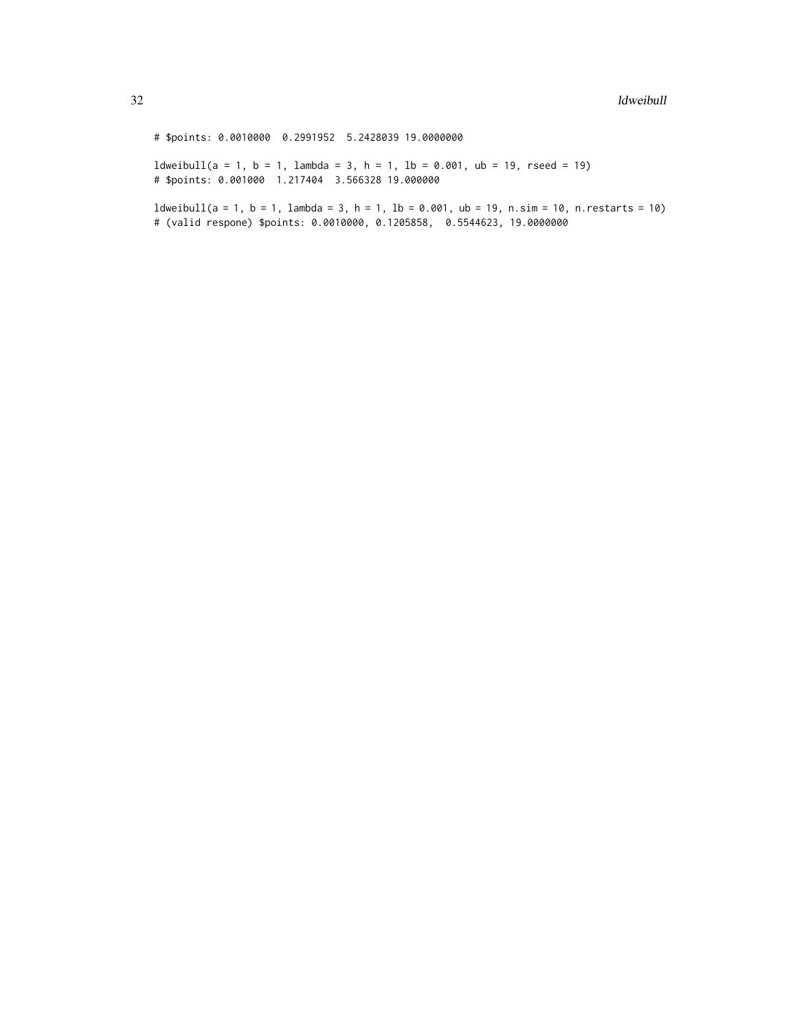# \$points: 0.0010000 0.2991952 5.2428039 19.0000000

 $ldweibull(a = 1, b = 1, lambda = 3, h = 1, lb = 0.001, ub = 19, rseed = 19)$ # \$points: 0.001000 1.217404 3.566328 19.000000

 $ldweibull(a = 1, b = 1, lambda = 3, h = 1, lb = 0.001, ub = 19, n.sim = 10, n. restarts = 10)$ # (valid respone) \$points: 0.0010000, 0.1205858, 0.5544623, 19.0000000